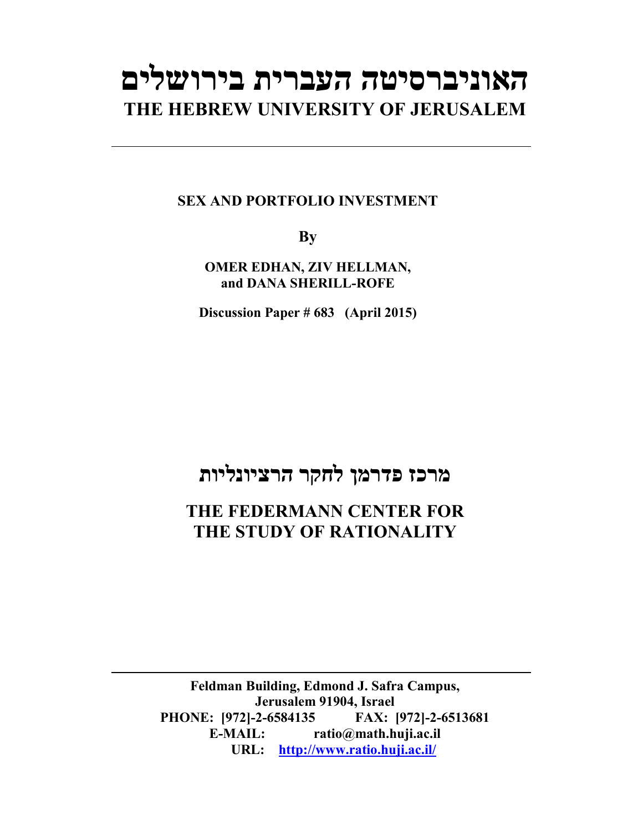# **האוניברסיטה העברית בירושלים THE HEBREW UNIVERSITY OF JERUSALEM**

### **SEX AND PORTFOLIO INVESTMENT**

**By**

**OMER EDHAN, ZIV HELLMAN, and DANA SHERILL-ROFE**

**Discussion Paper # 683 (April 2015)**

## **מרכז פדרמן לחקר הרציונליות**

### **THE FEDERMANN CENTER FOR THE STUDY OF RATIONALITY**

**Feldman Building, Edmond J. Safra Campus, Jerusalem 91904, Israel PHONE: [972]-2-6584135 FAX: [972]-2-6513681 E-MAIL: ratio@math.huji.ac.il URL: http://www.ratio.huji.ac.il/**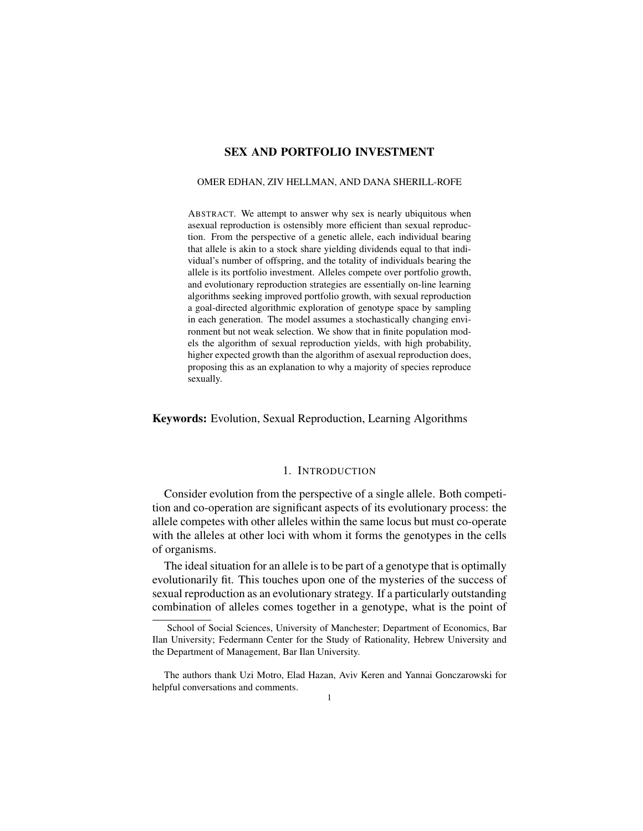#### SEX AND PORTFOLIO INVESTMENT

#### OMER EDHAN, ZIV HELLMAN, AND DANA SHERILL-ROFE

ABSTRACT. We attempt to answer why sex is nearly ubiquitous when asexual reproduction is ostensibly more efficient than sexual reproduction. From the perspective of a genetic allele, each individual bearing that allele is akin to a stock share yielding dividends equal to that individual's number of offspring, and the totality of individuals bearing the allele is its portfolio investment. Alleles compete over portfolio growth, and evolutionary reproduction strategies are essentially on-line learning algorithms seeking improved portfolio growth, with sexual reproduction a goal-directed algorithmic exploration of genotype space by sampling in each generation. The model assumes a stochastically changing environment but not weak selection. We show that in finite population models the algorithm of sexual reproduction yields, with high probability, higher expected growth than the algorithm of asexual reproduction does, proposing this as an explanation to why a majority of species reproduce sexually.

#### Keywords: Evolution, Sexual Reproduction, Learning Algorithms

#### 1. INTRODUCTION

Consider evolution from the perspective of a single allele. Both competition and co-operation are significant aspects of its evolutionary process: the allele competes with other alleles within the same locus but must co-operate with the alleles at other loci with whom it forms the genotypes in the cells of organisms.

The ideal situation for an allele is to be part of a genotype that is optimally evolutionarily fit. This touches upon one of the mysteries of the success of sexual reproduction as an evolutionary strategy. If a particularly outstanding combination of alleles comes together in a genotype, what is the point of

School of Social Sciences, University of Manchester; Department of Economics, Bar Ilan University; Federmann Center for the Study of Rationality, Hebrew University and the Department of Management, Bar Ilan University.

The authors thank Uzi Motro, Elad Hazan, Aviv Keren and Yannai Gonczarowski for helpful conversations and comments.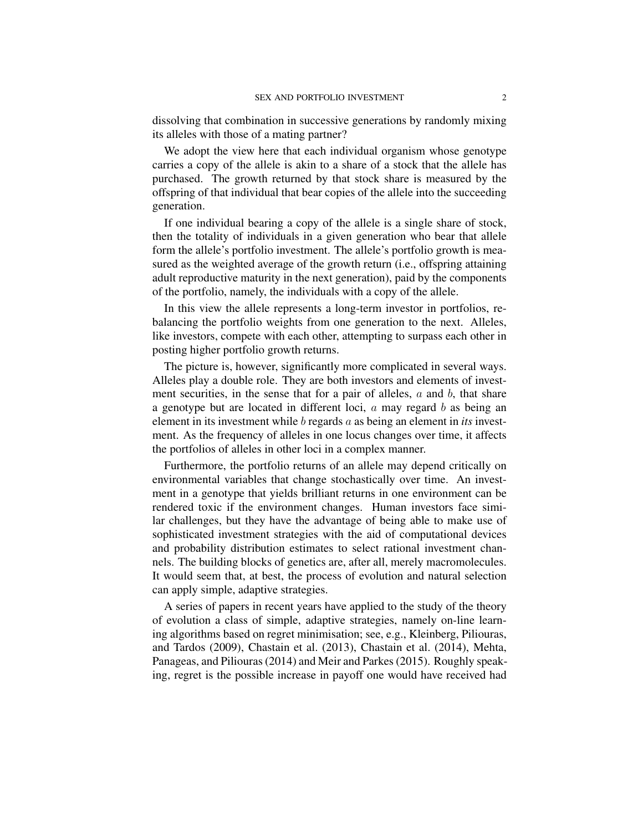dissolving that combination in successive generations by randomly mixing its alleles with those of a mating partner?

We adopt the view here that each individual organism whose genotype carries a copy of the allele is akin to a share of a stock that the allele has purchased. The growth returned by that stock share is measured by the offspring of that individual that bear copies of the allele into the succeeding generation.

If one individual bearing a copy of the allele is a single share of stock, then the totality of individuals in a given generation who bear that allele form the allele's portfolio investment. The allele's portfolio growth is measured as the weighted average of the growth return (i.e., offspring attaining adult reproductive maturity in the next generation), paid by the components of the portfolio, namely, the individuals with a copy of the allele.

In this view the allele represents a long-term investor in portfolios, rebalancing the portfolio weights from one generation to the next. Alleles, like investors, compete with each other, attempting to surpass each other in posting higher portfolio growth returns.

The picture is, however, significantly more complicated in several ways. Alleles play a double role. They are both investors and elements of investment securities, in the sense that for a pair of alleles,  $a$  and  $b$ , that share a genotype but are located in different loci,  $a$  may regard  $b$  as being an element in its investment while b regards a as being an element in *its* investment. As the frequency of alleles in one locus changes over time, it affects the portfolios of alleles in other loci in a complex manner.

Furthermore, the portfolio returns of an allele may depend critically on environmental variables that change stochastically over time. An investment in a genotype that yields brilliant returns in one environment can be rendered toxic if the environment changes. Human investors face similar challenges, but they have the advantage of being able to make use of sophisticated investment strategies with the aid of computational devices and probability distribution estimates to select rational investment channels. The building blocks of genetics are, after all, merely macromolecules. It would seem that, at best, the process of evolution and natural selection can apply simple, adaptive strategies.

A series of papers in recent years have applied to the study of the theory of evolution a class of simple, adaptive strategies, namely on-line learning algorithms based on regret minimisation; see, e.g., Kleinberg, Piliouras, and Tardos (2009), Chastain et al. (2013), Chastain et al. (2014), Mehta, Panageas, and Piliouras (2014) and Meir and Parkes (2015). Roughly speaking, regret is the possible increase in payoff one would have received had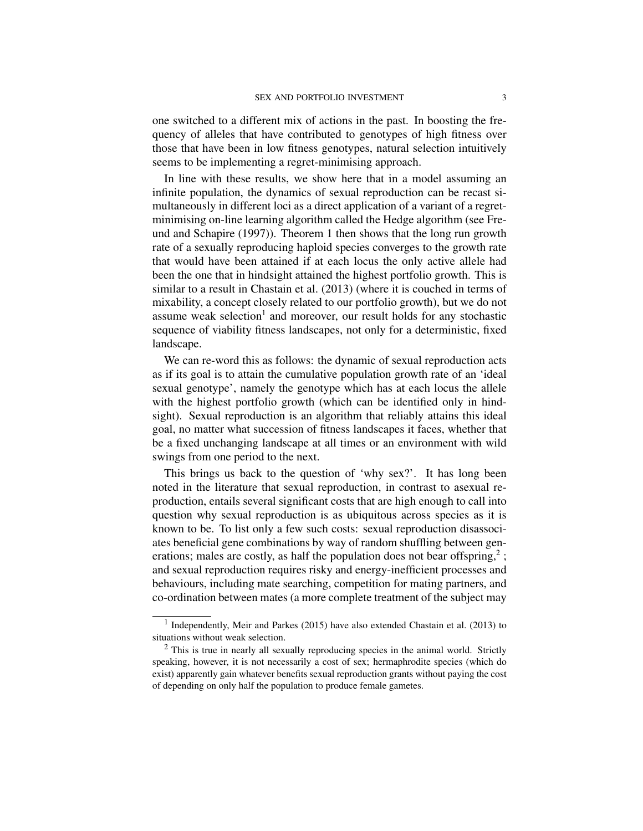one switched to a different mix of actions in the past. In boosting the frequency of alleles that have contributed to genotypes of high fitness over those that have been in low fitness genotypes, natural selection intuitively seems to be implementing a regret-minimising approach.

In line with these results, we show here that in a model assuming an infinite population, the dynamics of sexual reproduction can be recast simultaneously in different loci as a direct application of a variant of a regretminimising on-line learning algorithm called the Hedge algorithm (see Freund and Schapire (1997)). Theorem 1 then shows that the long run growth rate of a sexually reproducing haploid species converges to the growth rate that would have been attained if at each locus the only active allele had been the one that in hindsight attained the highest portfolio growth. This is similar to a result in Chastain et al. (2013) (where it is couched in terms of mixability, a concept closely related to our portfolio growth), but we do not assume weak selection<sup>1</sup> and moreover, our result holds for any stochastic sequence of viability fitness landscapes, not only for a deterministic, fixed landscape.

We can re-word this as follows: the dynamic of sexual reproduction acts as if its goal is to attain the cumulative population growth rate of an 'ideal sexual genotype', namely the genotype which has at each locus the allele with the highest portfolio growth (which can be identified only in hindsight). Sexual reproduction is an algorithm that reliably attains this ideal goal, no matter what succession of fitness landscapes it faces, whether that be a fixed unchanging landscape at all times or an environment with wild swings from one period to the next.

This brings us back to the question of 'why sex?'. It has long been noted in the literature that sexual reproduction, in contrast to asexual reproduction, entails several significant costs that are high enough to call into question why sexual reproduction is as ubiquitous across species as it is known to be. To list only a few such costs: sexual reproduction disassociates beneficial gene combinations by way of random shuffling between generations; males are costly, as half the population does not bear offspring, $2$ ; and sexual reproduction requires risky and energy-inefficient processes and behaviours, including mate searching, competition for mating partners, and co-ordination between mates (a more complete treatment of the subject may

<sup>&</sup>lt;sup>1</sup> Independently, Meir and Parkes (2015) have also extended Chastain et al. (2013) to situations without weak selection.

<sup>&</sup>lt;sup>2</sup> This is true in nearly all sexually reproducing species in the animal world. Strictly speaking, however, it is not necessarily a cost of sex; hermaphrodite species (which do exist) apparently gain whatever benefits sexual reproduction grants without paying the cost of depending on only half the population to produce female gametes.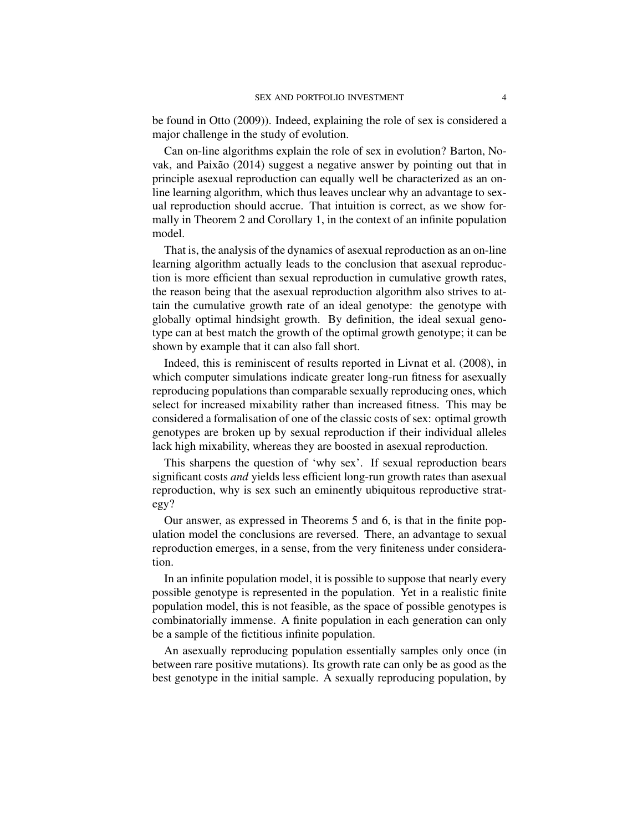be found in Otto (2009)). Indeed, explaining the role of sex is considered a major challenge in the study of evolution.

Can on-line algorithms explain the role of sex in evolution? Barton, Novak, and Paixão  $(2014)$  suggest a negative answer by pointing out that in principle asexual reproduction can equally well be characterized as an online learning algorithm, which thus leaves unclear why an advantage to sexual reproduction should accrue. That intuition is correct, as we show formally in Theorem 2 and Corollary 1, in the context of an infinite population model.

That is, the analysis of the dynamics of asexual reproduction as an on-line learning algorithm actually leads to the conclusion that asexual reproduction is more efficient than sexual reproduction in cumulative growth rates, the reason being that the asexual reproduction algorithm also strives to attain the cumulative growth rate of an ideal genotype: the genotype with globally optimal hindsight growth. By definition, the ideal sexual genotype can at best match the growth of the optimal growth genotype; it can be shown by example that it can also fall short.

Indeed, this is reminiscent of results reported in Livnat et al. (2008), in which computer simulations indicate greater long-run fitness for asexually reproducing populations than comparable sexually reproducing ones, which select for increased mixability rather than increased fitness. This may be considered a formalisation of one of the classic costs of sex: optimal growth genotypes are broken up by sexual reproduction if their individual alleles lack high mixability, whereas they are boosted in asexual reproduction.

This sharpens the question of 'why sex'. If sexual reproduction bears significant costs *and* yields less efficient long-run growth rates than asexual reproduction, why is sex such an eminently ubiquitous reproductive strategy?

Our answer, as expressed in Theorems 5 and 6, is that in the finite population model the conclusions are reversed. There, an advantage to sexual reproduction emerges, in a sense, from the very finiteness under consideration.

In an infinite population model, it is possible to suppose that nearly every possible genotype is represented in the population. Yet in a realistic finite population model, this is not feasible, as the space of possible genotypes is combinatorially immense. A finite population in each generation can only be a sample of the fictitious infinite population.

An asexually reproducing population essentially samples only once (in between rare positive mutations). Its growth rate can only be as good as the best genotype in the initial sample. A sexually reproducing population, by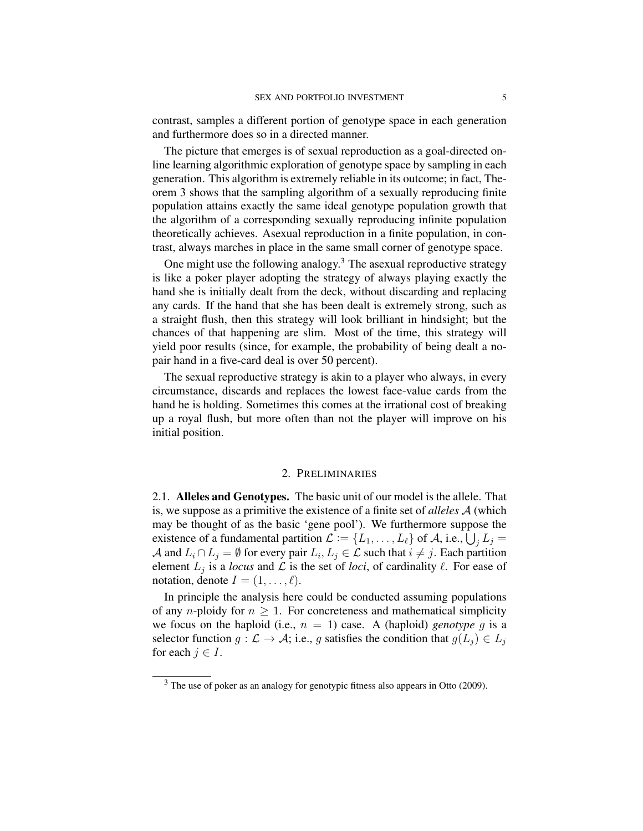contrast, samples a different portion of genotype space in each generation and furthermore does so in a directed manner.

The picture that emerges is of sexual reproduction as a goal-directed online learning algorithmic exploration of genotype space by sampling in each generation. This algorithm is extremely reliable in its outcome; in fact, Theorem 3 shows that the sampling algorithm of a sexually reproducing finite population attains exactly the same ideal genotype population growth that the algorithm of a corresponding sexually reproducing infinite population theoretically achieves. Asexual reproduction in a finite population, in contrast, always marches in place in the same small corner of genotype space.

One might use the following analogy.<sup>3</sup> The asexual reproductive strategy is like a poker player adopting the strategy of always playing exactly the hand she is initially dealt from the deck, without discarding and replacing any cards. If the hand that she has been dealt is extremely strong, such as a straight flush, then this strategy will look brilliant in hindsight; but the chances of that happening are slim. Most of the time, this strategy will yield poor results (since, for example, the probability of being dealt a nopair hand in a five-card deal is over 50 percent).

The sexual reproductive strategy is akin to a player who always, in every circumstance, discards and replaces the lowest face-value cards from the hand he is holding. Sometimes this comes at the irrational cost of breaking up a royal flush, but more often than not the player will improve on his initial position.

#### 2. PRELIMINARIES

2.1. Alleles and Genotypes. The basic unit of our model is the allele. That is, we suppose as a primitive the existence of a finite set of *alleles* A (which may be thought of as the basic 'gene pool'). We furthermore suppose the existence of a fundamental partition  $\mathcal{L} := \{L_1, \ldots, L_\ell\}$  of  $\mathcal{A}$ , i.e.,  $\overline{U}_j L_j =$ A and  $L_i \cap L_j = \emptyset$  for every pair  $L_i, L_j \in \mathcal{L}$  such that  $i \neq j$ . Each partition element  $L_j$  is a *locus* and  $\mathcal L$  is the set of *loci*, of cardinality  $\ell$ . For ease of notation, denote  $I = (1, \ldots, \ell)$ .

In principle the analysis here could be conducted assuming populations of any *n*-ploidy for  $n \geq 1$ . For concreteness and mathematical simplicity we focus on the haploid (i.e.,  $n = 1$ ) case. A (haploid) *genotype* q is a selector function  $g : \mathcal{L} \to \mathcal{A}$ ; i.e., g satisfies the condition that  $g(L_i) \in L_i$ for each  $j \in I$ .

 $3$  The use of poker as an analogy for genotypic fitness also appears in Otto (2009).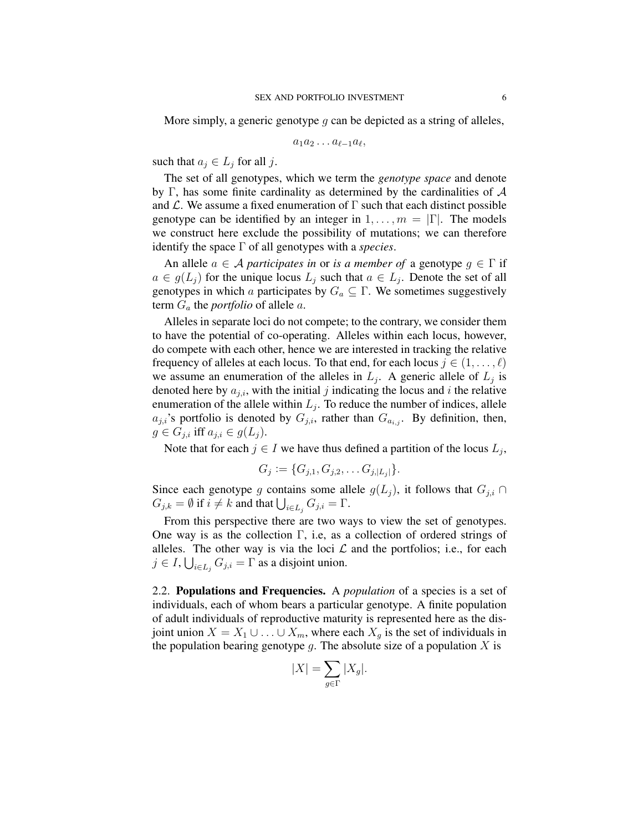More simply, a generic genotype  $g$  can be depicted as a string of alleles,

$$
a_1a_2\ldots a_{\ell-1}a_\ell,
$$

such that  $a_j \in L_j$  for all j.

The set of all genotypes, which we term the *genotype space* and denote by Γ, has some finite cardinality as determined by the cardinalities of  $A$ and  $\mathcal{L}$ . We assume a fixed enumeration of  $\Gamma$  such that each distinct possible genotype can be identified by an integer in  $1, \ldots, m = |\Gamma|$ . The models we construct here exclude the possibility of mutations; we can therefore identify the space Γ of all genotypes with a *species*.

An allele  $a \in \mathcal{A}$  *participates in* or *is a member of* a genotype  $g \in \Gamma$  if  $a \in g(L_j)$  for the unique locus  $L_j$  such that  $a \in L_j$ . Denote the set of all genotypes in which a participates by  $G_a \subseteq \Gamma$ . We sometimes suggestively term  $G_a$  the *portfolio* of allele  $a$ .

Alleles in separate loci do not compete; to the contrary, we consider them to have the potential of co-operating. Alleles within each locus, however, do compete with each other, hence we are interested in tracking the relative frequency of alleles at each locus. To that end, for each locus  $j \in (1, \ldots, \ell)$ we assume an enumeration of the alleles in  $L_j$ . A generic allele of  $L_j$  is denoted here by  $a_{j,i}$ , with the initial j indicating the locus and i the relative enumeration of the allele within  $L_j$ . To reduce the number of indices, allele  $a_{j,i}$ 's portfolio is denoted by  $G_{j,i}$ , rather than  $G_{a_{i,j}}$ . By definition, then,  $g \in G_{j,i}$  iff  $a_{j,i} \in g(L_j)$ .

Note that for each  $j \in I$  we have thus defined a partition of the locus  $L_j$ ,

$$
G_j := \{G_{j,1}, G_{j,2}, \ldots G_{j,|L_j|}\}.
$$

Since each genotype g contains some allele  $g(L_i)$ , it follows that  $G_{i,i} \cap$  $G_{j,k} = \emptyset$  if  $i \neq k$  and that  $\bigcup_{i \in L_j} G_{j,i} = \Gamma$ .

From this perspective there are two ways to view the set of genotypes. One way is as the collection  $\Gamma$ , i.e, as a collection of ordered strings of alleles. The other way is via the loci  $\mathcal L$  and the portfolios; i.e., for each  $j \in I$ ,  $\bigcup_{i \in L_j} G_{j,i} = \Gamma$  as a disjoint union.

2.2. Populations and Frequencies. A *population* of a species is a set of individuals, each of whom bears a particular genotype. A finite population of adult individuals of reproductive maturity is represented here as the disjoint union  $X = X_1 \cup ... \cup X_m$ , where each  $X_q$  is the set of individuals in the population bearing genotype  $g$ . The absolute size of a population  $X$  is

$$
|X| = \sum_{g \in \Gamma} |X_g|.
$$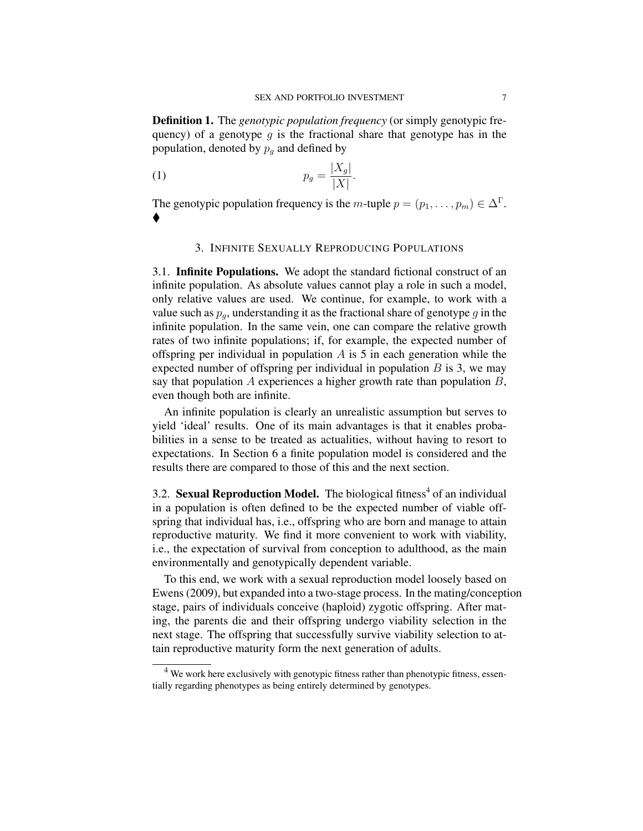Definition 1. The *genotypic population frequency* (or simply genotypic frequency) of a genotype q is the fractional share that genotype has in the population, denoted by  $p_q$  and defined by

$$
p_g = \frac{|X_g|}{|X|}.
$$

The genotypic population frequency is the *m*-tuple  $p = (p_1, \dots, p_m) \in \Delta^{\Gamma}$ . ♦

#### 3. INFINITE SEXUALLY REPRODUCING POPULATIONS

3.1. Infinite Populations. We adopt the standard fictional construct of an infinite population. As absolute values cannot play a role in such a model, only relative values are used. We continue, for example, to work with a value such as  $p_q$ , understanding it as the fractional share of genotype g in the infinite population. In the same vein, one can compare the relative growth rates of two infinite populations; if, for example, the expected number of offspring per individual in population  $A$  is 5 in each generation while the expected number of offspring per individual in population  $B$  is 3, we may say that population  $A$  experiences a higher growth rate than population  $B$ , even though both are infinite.

An infinite population is clearly an unrealistic assumption but serves to yield 'ideal' results. One of its main advantages is that it enables probabilities in a sense to be treated as actualities, without having to resort to expectations. In Section 6 a finite population model is considered and the results there are compared to those of this and the next section.

3.2. Sexual Reproduction Model. The biological fitness<sup>4</sup> of an individual in a population is often defined to be the expected number of viable offspring that individual has, i.e., offspring who are born and manage to attain reproductive maturity. We find it more convenient to work with viability, i.e., the expectation of survival from conception to adulthood, as the main environmentally and genotypically dependent variable.

To this end, we work with a sexual reproduction model loosely based on Ewens (2009), but expanded into a two-stage process. In the mating/conception stage, pairs of individuals conceive (haploid) zygotic offspring. After mating, the parents die and their offspring undergo viability selection in the next stage. The offspring that successfully survive viability selection to attain reproductive maturity form the next generation of adults.

<sup>&</sup>lt;sup>4</sup> We work here exclusively with genotypic fitness rather than phenotypic fitness, essentially regarding phenotypes as being entirely determined by genotypes.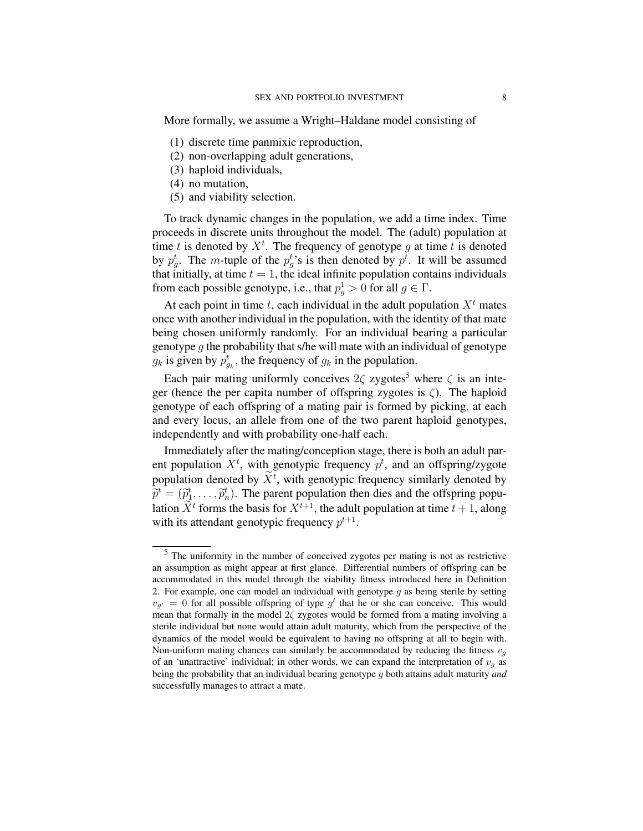More formally, we assume a Wright–Haldane model consisting of

- (1) discrete time panmixic reproduction,
- (2) non-overlapping adult generations,
- (3) haploid individuals,
- (4) no mutation,
- (5) and viability selection.

To track dynamic changes in the population, we add a time index. Time proceeds in discrete units throughout the model. The (adult) population at time t is denoted by  $X^t$ . The frequency of genotype g at time t is denoted by  $p_g^t$ . The *m*-tuple of the  $p_g^t$ 's is then denoted by  $p^t$ . It will be assumed that initially, at time  $t = 1$ , the ideal infinite population contains individuals from each possible genotype, i.e., that  $p_g^1 > 0$  for all  $g \in \Gamma$ .

At each point in time t, each individual in the adult population  $X<sup>t</sup>$  mates once with another individual in the population, with the identity of that mate being chosen uniformly randomly. For an individual bearing a particular genotype  $q$  the probability that s/he will mate with an individual of genotype  $g_k$  is given by  $p_{g_k}^t$ , the frequency of  $g_k$  in the population.

Each pair mating uniformly conceives  $2\zeta$  zygotes<sup>5</sup> where  $\zeta$  is an integer (hence the per capita number of offspring zygotes is ζ). The haploid genotype of each offspring of a mating pair is formed by picking, at each and every locus, an allele from one of the two parent haploid genotypes, independently and with probability one-half each.

Immediately after the mating/conception stage, there is both an adult parent population  $X^t$ , with genotypic frequency  $p^t$ , and an offspring/zygote population denoted by  $X^t$ , with genotypic frequency similarly denoted by  $\widetilde{p}^t = (\widetilde{p}_1^t, \ldots, \widetilde{p}_n^t)$ . The parent population then dies and the offspring population  $X<sup>t</sup>$  forms the basis for  $X<sup>t+1</sup>$ , the adult population at time  $t + 1$ , along with its attendant genotypic frequency  $p^{t+1}$ .

<sup>5</sup> The uniformity in the number of conceived zygotes per mating is not as restrictive an assumption as might appear at first glance. Differential numbers of offspring can be accommodated in this model through the viability fitness introduced here in Definition 2. For example, one can model an individual with genotype  $q$  as being sterile by setting  $v_{g'} = 0$  for all possible offspring of type g' that he or she can conceive. This would mean that formally in the model  $2\zeta$  zygotes would be formed from a mating involving a sterile individual but none would attain adult maturity, which from the perspective of the dynamics of the model would be equivalent to having no offspring at all to begin with. Non-uniform mating chances can similarly be accommodated by reducing the fitness  $v<sub>q</sub>$ of an 'unattractive' individual; in other words, we can expand the interpretation of  $v<sub>q</sub>$  as being the probability that an individual bearing genotype g both attains adult maturity *and* successfully manages to attract a mate.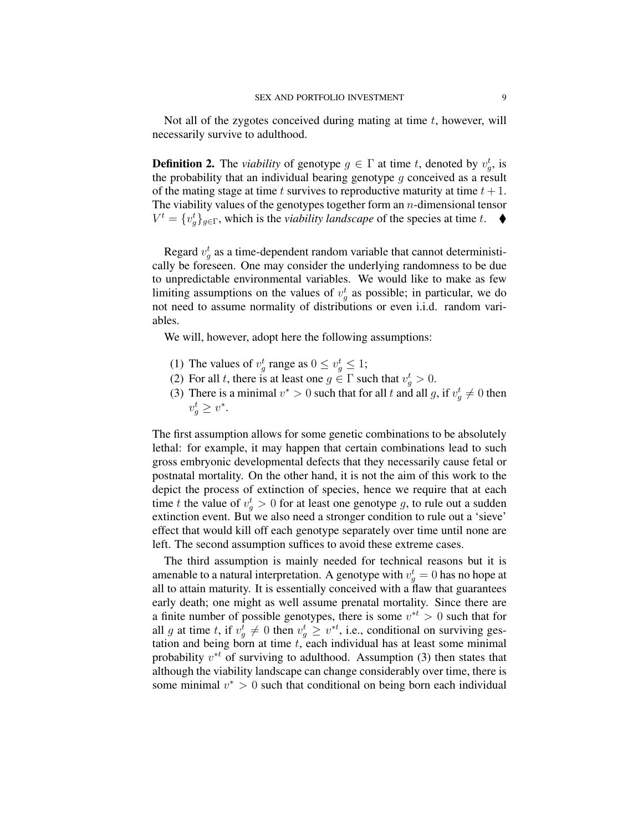Not all of the zygotes conceived during mating at time  $t$ , however, will necessarily survive to adulthood.

**Definition 2.** The *viability* of genotype  $g \in \Gamma$  at time t, denoted by  $v_g^t$ , is the probability that an individual bearing genotype  $g$  conceived as a result of the mating stage at time t survives to reproductive maturity at time  $t + 1$ . The viability values of the genotypes together form an  $n$ -dimensional tensor  $V^t = \{v_g^t\}_{g \in \Gamma}$ , which is the *viability landscape* of the species at time  $t$ .  $\blacklozenge$ 

Regard  $v_g^t$  as a time-dependent random variable that cannot deterministically be foreseen. One may consider the underlying randomness to be due to unpredictable environmental variables. We would like to make as few limiting assumptions on the values of  $v_g^t$  as possible; in particular, we do not need to assume normality of distributions or even i.i.d. random variables.

We will, however, adopt here the following assumptions:

- (1) The values of  $v_g^t$  range as  $0 \le v_g^t \le 1$ ;
- (2) For all t, there is at least one  $g \in \Gamma$  such that  $v_g^t > 0$ .
- (3) There is a minimal  $v^* > 0$  such that for all t and all g, if  $v_g^t \neq 0$  then  $v_g^t \geq v^*$ .

The first assumption allows for some genetic combinations to be absolutely lethal: for example, it may happen that certain combinations lead to such gross embryonic developmental defects that they necessarily cause fetal or postnatal mortality. On the other hand, it is not the aim of this work to the depict the process of extinction of species, hence we require that at each time t the value of  $v_g^t > 0$  for at least one genotype g, to rule out a sudden extinction event. But we also need a stronger condition to rule out a 'sieve' effect that would kill off each genotype separately over time until none are left. The second assumption suffices to avoid these extreme cases.

The third assumption is mainly needed for technical reasons but it is amenable to a natural interpretation. A genotype with  $v_g^t = 0$  has no hope at all to attain maturity. It is essentially conceived with a flaw that guarantees early death; one might as well assume prenatal mortality. Since there are a finite number of possible genotypes, there is some  $v^{*t} > 0$  such that for all g at time t, if  $v_g^t \neq 0$  then  $v_g^t \geq v^{*t}$ , i.e., conditional on surviving gestation and being born at time  $t$ , each individual has at least some minimal probability  $v^{*t}$  of surviving to adulthood. Assumption (3) then states that although the viability landscape can change considerably over time, there is some minimal  $v^* > 0$  such that conditional on being born each individual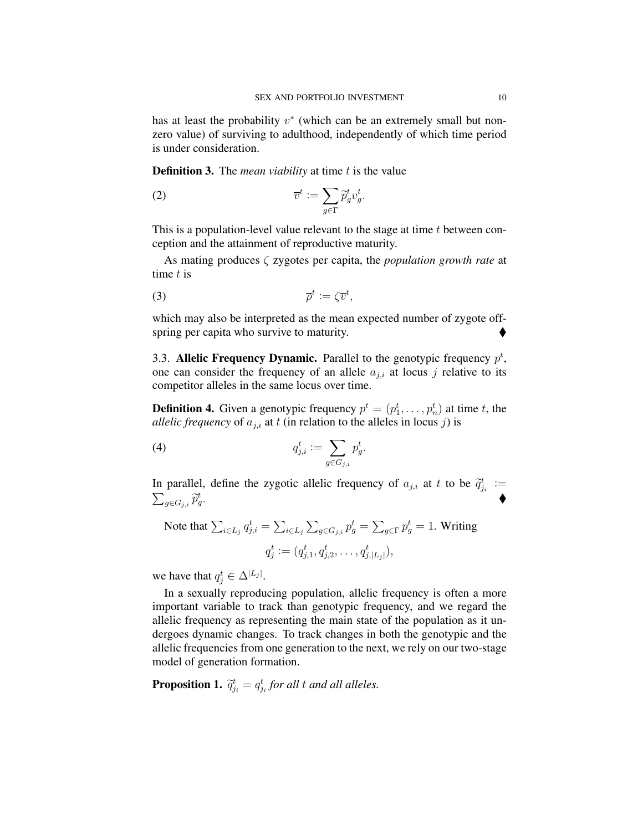has at least the probability  $v^*$  (which can be an extremely small but nonzero value) of surviving to adulthood, independently of which time period is under consideration.

**Definition 3.** The *mean viability* at time t is the value

(2) 
$$
\overline{v}^t := \sum_{g \in \Gamma} \widetilde{p}_g^t v_g^t.
$$

This is a population-level value relevant to the stage at time  $t$  between conception and the attainment of reproductive maturity.

As mating produces ζ zygotes per capita, the *population growth rate* at time  $t$  is

$$
\overline{\rho}^t := \zeta \overline{v}^t,
$$

which may also be interpreted as the mean expected number of zygote offspring per capita who survive to maturity.

3.3. Allelic Frequency Dynamic. Parallel to the genotypic frequency  $p<sup>t</sup>$ , one can consider the frequency of an allele  $a_{j,i}$  at locus j relative to its competitor alleles in the same locus over time.

**Definition 4.** Given a genotypic frequency  $p^t = (p_1^t, \dots, p_n^t)$  at time t, the *allelic frequency* of  $a_{j,i}$  at t (in relation to the alleles in locus j) is

$$
(4) \t q_{j,i}^t := \sum_{g \in G_{j,i}} p_g^t.
$$

In parallel, define the zygotic allelic frequency of  $a_{j,i}$  at t to be  $\tilde{q}_{j_i}^t := \sum_{k \in \mathbb{N}} \tilde{p}_{k,i}^t$  $_{g\in G_{j,i}}\widetilde{p}_{g}^{t}$ . The contract of the contract of the contract of  $\blacklozenge$ 

Note that  $\sum_{i \in L_j} q_{j,i}^t = \sum_{i \in L_j} \sum_{g \in G_{j,i}} p_g^t = \sum_{g \in \Gamma} p_g^t = 1$ . Writing  $q_j^t := (q_{j,1}^t, q_{j,2}^t, \ldots, q_{j,|L_j|}^t),$ 

we have that  $q_j^t \in \Delta^{|L_j|}$ .

In a sexually reproducing population, allelic frequency is often a more important variable to track than genotypic frequency, and we regard the allelic frequency as representing the main state of the population as it undergoes dynamic changes. To track changes in both the genotypic and the allelic frequencies from one generation to the next, we rely on our two-stage model of generation formation.

**Proposition 1.**  $\widetilde{q}_{j_i}^t = q_{j_i}^t$  for all t and all alleles.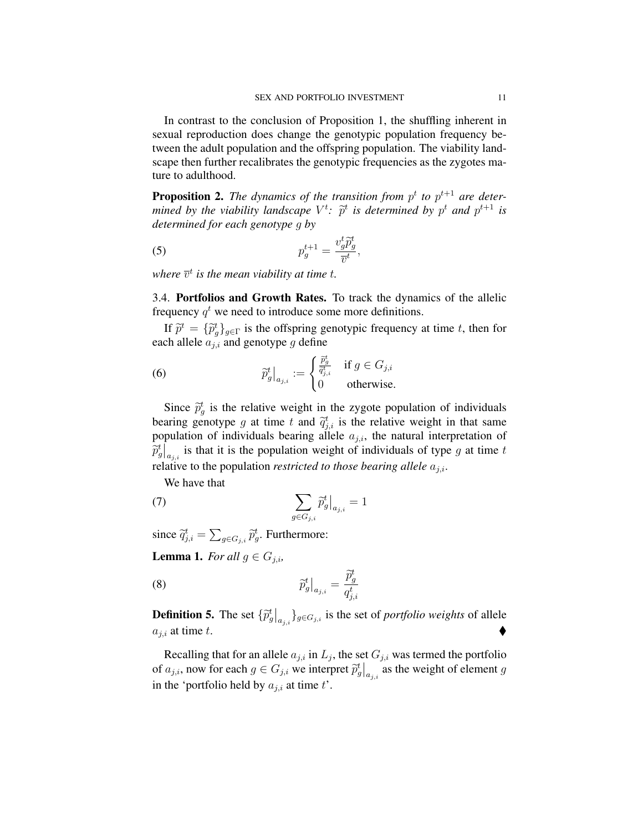In contrast to the conclusion of Proposition 1, the shuffling inherent in sexual reproduction does change the genotypic population frequency between the adult population and the offspring population. The viability landscape then further recalibrates the genotypic frequencies as the zygotes mature to adulthood.

**Proposition 2.** The dynamics of the transition from  $p^t$  to  $p^{t+1}$  are deter*mined by the viability landscape*  $V^t$ :  $\tilde{p}^t$  *is determined by*  $p^t$  *and*  $p^{t+1}$  *is* determined for each according to *determined for each genotype* g *by*

$$
p_g^{t+1} = \frac{v_g^t \widetilde{p}_g^t}{\overline{v}^t},
$$

where  $\overline{v}^t$  is the mean viability at time  $t$ .

3.4. Portfolios and Growth Rates. To track the dynamics of the allelic frequency  $q^t$  we need to introduce some more definitions.

If  $\tilde{p}^t = {\{\tilde{p}_g^t\}}_{g \in \Gamma}$  is the offspring genotypic frequency at time t, then for each allele  $a_{i,i}$  and genotype g define

(6) 
$$
\widetilde{p}_{g}^{t}\Big|_{a_{j,i}} := \begin{cases} \frac{\widetilde{p}_{g}^{t}}{\widetilde{q}_{j,i}^{t}} & \text{if } g \in G_{j,i} \\ 0 & \text{otherwise.} \end{cases}
$$

Since  $\tilde{p}_g^t$  is the relative weight in the zygote population of individuals bearing genotype g at time t and  $\tilde{q}_{j,i}^t$  is the relative weight in that same<br>nomination of individuals begins allele s the natural intermetation of population of individuals bearing allele  $a_{j,i}$ , the natural interpretation of  $\hat{p}_{g}^{t}$ <sub>a<sub>j,i</sub> is that it is the population weight of individuals of type g at time t</sub> relative to the population *restricted to those bearing allele*  $a_{j,i}$ .

We have that

$$
\sum_{g \in G_{j,i}} \widetilde{p}_g^t \big|_{a_{j,i}} = 1
$$

since  $\widetilde{q}_{j,i}^t = \sum_{g \in G_{j,i}} \widetilde{p}_g^t$ . Furthermore: **Lemma 1.** *For all*  $g \in G_{i,i}$ ,

$$
\widetilde{p}_g^t\big|_{a_{j,i}} = \frac{\widetilde{p}_g^t}{q_{j,i}^t}
$$

**Definition 5.** The set  $\{\widetilde{p}_g^t|_{a_{j,i}}\}_{g \in G_{j,i}}$  is the set of *portfolio weights* of allele  $a_{i,i}$  at time t.

Recalling that for an allele  $a_{j,i}$  in  $L_j$ , the set  $G_{j,i}$  was termed the portfolio of  $a_{j,i}$ , now for each  $g \in G_{j,i}$  we interpret  $\tilde{p}_g^t\big|_{a_{j,i}}$  as the weight of element g in the 'portfolio held by  $a_{j,i}$  at time t'.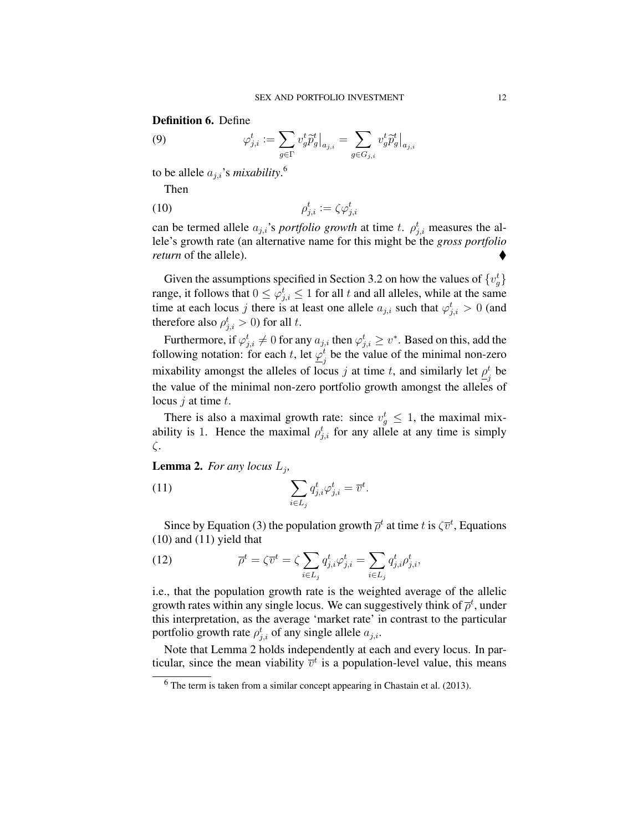#### Definition 6. Define

(9) 
$$
\varphi_{j,i}^t := \sum_{g \in \Gamma} v_g^t \tilde{p}_g^t \Big|_{a_{j,i}} = \sum_{g \in G_{j,i}} v_g^t \tilde{p}_g^t \Big|_{a_{j,i}}
$$

to be allele  $a_{j,i}$ 's *mixability*.<sup>6</sup>

Then

$$
\rho^t_{j,i} := \zeta \varphi^t_{j,i}
$$

can be termed allele  $a_{j,i}$ 's *portfolio growth* at time t.  $\rho_{j,i}^t$  measures the allele's growth rate (an alternative name for this might be the *gross portfolio return* of the allele).

Given the assumptions specified in Section 3.2 on how the values of  $\{v_g^t\}$ range, it follows that  $0 \le \varphi_{j,i}^t \le 1$  for all t and all alleles, while at the same time at each locus j there is at least one allele  $a_{j,i}$  such that  $\varphi_{j,i}^t > 0$  (and therefore also  $\rho_{j,i}^t > 0$ ) for all t.

Furthermore, if  $\varphi^t_{j,i}\neq 0$  for any  $a_{j,i}$  then  $\varphi^t_{j,i}\geq v^*$ . Based on this, add the following notation: for each t, let  $\varphi_s^t$  $j$  be the value of the minimal non-zero mixability amongst the alleles of locus j at time t, and similarly let  $\rho_s^t$  $\frac{t}{j}$  be the value of the minimal non-zero portfolio growth amongst the alleles of locus  $i$  at time  $t$ .

There is also a maximal growth rate: since  $v_g^t \leq 1$ , the maximal mixability is 1. Hence the maximal  $\rho_{j,i}^t$  for any allele at any time is simply ζ.

Lemma 2. *For any locus* L<sup>j</sup> *,*

(11) 
$$
\sum_{i \in L_j} q_{j,i}^t \varphi_{j,i}^t = \overline{v}^t.
$$

Since by Equation (3) the population growth  $\overline{\rho}^t$  at time t is  $\zeta \overline{v}^t$ , Equations (10) and (11) yield that

(12) 
$$
\overline{\rho}^t = \zeta \overline{v}^t = \zeta \sum_{i \in L_j} q_{j,i}^t \varphi_{j,i}^t = \sum_{i \in L_j} q_{j,i}^t \rho_{j,i}^t,
$$

i.e., that the population growth rate is the weighted average of the allelic growth rates within any single locus. We can suggestively think of  $\overline{\rho}^t$ , under this interpretation, as the average 'market rate' in contrast to the particular portfolio growth rate  $\rho_{j,i}^t$  of any single allele  $a_{j,i}$ .

Note that Lemma 2 holds independently at each and every locus. In particular, since the mean viability  $\bar{v}^t$  is a population-level value, this means

 $6$  The term is taken from a similar concept appearing in Chastain et al. (2013).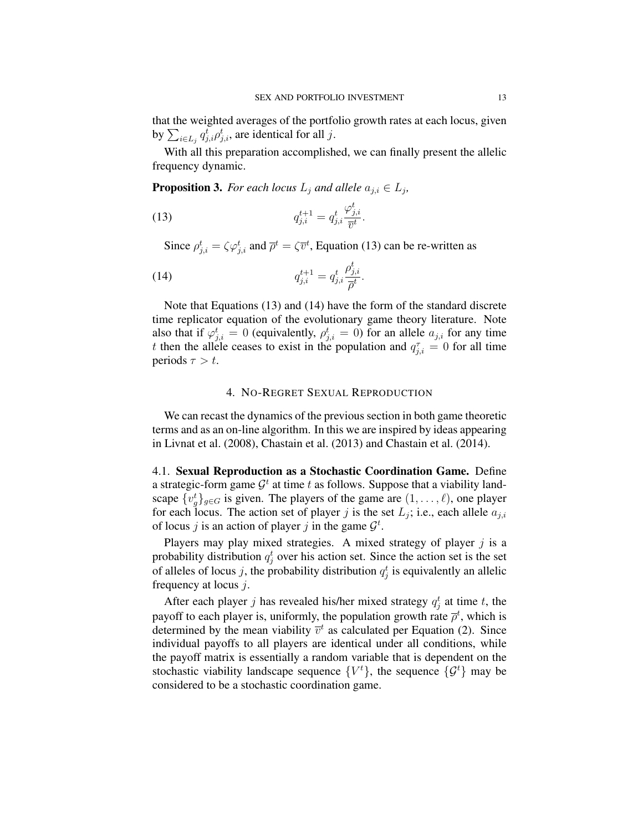that the weighted averages of the portfolio growth rates at each locus, given by  $\sum_{i \in L_j} q_{j,i}^t \rho_{j,i}^t$ , are identical for all  $j$ .

With all this preparation accomplished, we can finally present the allelic frequency dynamic.

**Proposition 3.** For each locus  $L_j$  and allele  $a_{j,i} \in L_j$ ,

(13) 
$$
q_{j,i}^{t+1} = q_{j,i}^{t} \frac{\varphi_{j,i}^{t}}{\overline{v}^{t}}.
$$

Since  $\rho_{j,i}^t = \zeta \varphi_{j,i}^t$  and  $\overline{\rho}^t = \zeta \overline{v}^t$ , Equation (13) can be re-written as

(14) 
$$
q_{j,i}^{t+1} = q_{j,i}^t \frac{\rho_{j,i}^t}{\overline{\rho}^t}.
$$

Note that Equations (13) and (14) have the form of the standard discrete time replicator equation of the evolutionary game theory literature. Note also that if  $\varphi_{j,i}^t = 0$  (equivalently,  $\rho_{j,i}^t = 0$ ) for an allele  $a_{j,i}$  for any time t then the allele ceases to exist in the population and  $q_{j,i}^{\tau} = 0$  for all time periods  $\tau > t$ .

#### 4. NO-REGRET SEXUAL REPRODUCTION

We can recast the dynamics of the previous section in both game theoretic terms and as an on-line algorithm. In this we are inspired by ideas appearing in Livnat et al. (2008), Chastain et al. (2013) and Chastain et al. (2014).

4.1. Sexual Reproduction as a Stochastic Coordination Game. Define a strategic-form game  $\mathcal{G}^t$  at time t as follows. Suppose that a viability landscape  $\{v_g^t\}_{g \in G}$  is given. The players of the game are  $(1, \ldots, \ell)$ , one player for each locus. The action set of player j is the set  $L_j$ ; i.e., each allele  $a_{j,i}$ of locus *j* is an action of player *j* in the game  $\mathcal{G}^t$ .

Players may play mixed strategies. A mixed strategy of player  $j$  is a probability distribution  $q_j^t$  over his action set. Since the action set is the set of alleles of locus j, the probability distribution  $q_j^t$  is equivalently an allelic frequency at locus j.

After each player j has revealed his/her mixed strategy  $q_j^t$  at time t, the payoff to each player is, uniformly, the population growth rate  $\bar{\rho}^t$ , which is determined by the mean viability  $\bar{v}^t$  as calculated per Equation (2). Since individual payoffs to all players are identical under all conditions, while the payoff matrix is essentially a random variable that is dependent on the stochastic viability landscape sequence  $\{V^t\}$ , the sequence  $\{\mathcal{G}^t\}$  may be considered to be a stochastic coordination game.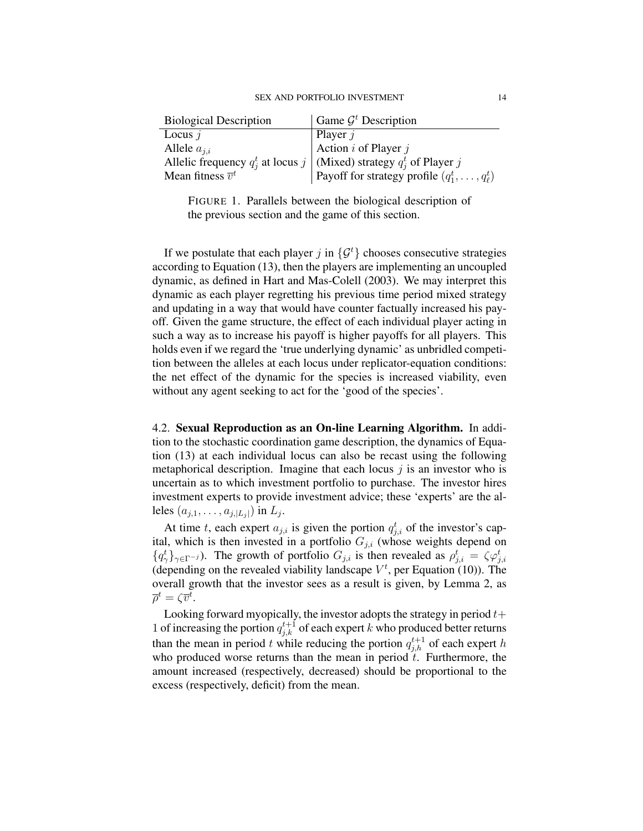| <b>Biological Description</b> | Game $\mathcal{G}^t$ Description                                          |
|-------------------------------|---------------------------------------------------------------------------|
| Locus $j$                     | Player $j$                                                                |
| Allele $a_{i,i}$              | Action $i$ of Player $j$                                                  |
|                               | Allelic frequency $q_i^t$ at locus j (Mixed) strategy $q_i^t$ of Player j |
| Mean fitness $\overline{v}^t$ | Payoff for strategy profile $(q_1^t, \ldots, q_\ell^t)$                   |

FIGURE 1. Parallels between the biological description of the previous section and the game of this section.

If we postulate that each player j in  $\{\mathcal{G}^t\}$  chooses consecutive strategies according to Equation (13), then the players are implementing an uncoupled dynamic, as defined in Hart and Mas-Colell (2003). We may interpret this dynamic as each player regretting his previous time period mixed strategy and updating in a way that would have counter factually increased his payoff. Given the game structure, the effect of each individual player acting in such a way as to increase his payoff is higher payoffs for all players. This holds even if we regard the 'true underlying dynamic' as unbridled competition between the alleles at each locus under replicator-equation conditions: the net effect of the dynamic for the species is increased viability, even without any agent seeking to act for the 'good of the species'.

4.2. Sexual Reproduction as an On-line Learning Algorithm. In addition to the stochastic coordination game description, the dynamics of Equation (13) at each individual locus can also be recast using the following metaphorical description. Imagine that each locus  $j$  is an investor who is uncertain as to which investment portfolio to purchase. The investor hires investment experts to provide investment advice; these 'experts' are the alleles  $(a_{j,1},...,a_{j,|L_j|})$  in  $L_j$ .

At time t, each expert  $a_{j,i}$  is given the portion  $q_{j,i}^t$  of the investor's capital, which is then invested in a portfolio  $G_{j,i}$  (whose weights depend on  $\{q_{\gamma}^{t}\}_{\gamma\in\Gamma^{-j}}$ ). The growth of portfolio  $G_{j,i}$  is then revealed as  $\rho_{j,i}^{t} = \zeta \varphi_{j,i}^{t}$ (depending on the revealed viability landscape  $V^t$ , per Equation (10)). The overall growth that the investor sees as a result is given, by Lemma 2, as  $\overline{\rho}^t = \zeta \overline{v}^t.$ 

Looking forward myopically, the investor adopts the strategy in period  $t+$ 1 of increasing the portion  $q_{j,k}^{t+1}$  of each expert k who produced better returns than the mean in period t while reducing the portion  $q_{j,h}^{t+1}$  of each expert h who produced worse returns than the mean in period  $t$ . Furthermore, the amount increased (respectively, decreased) should be proportional to the excess (respectively, deficit) from the mean.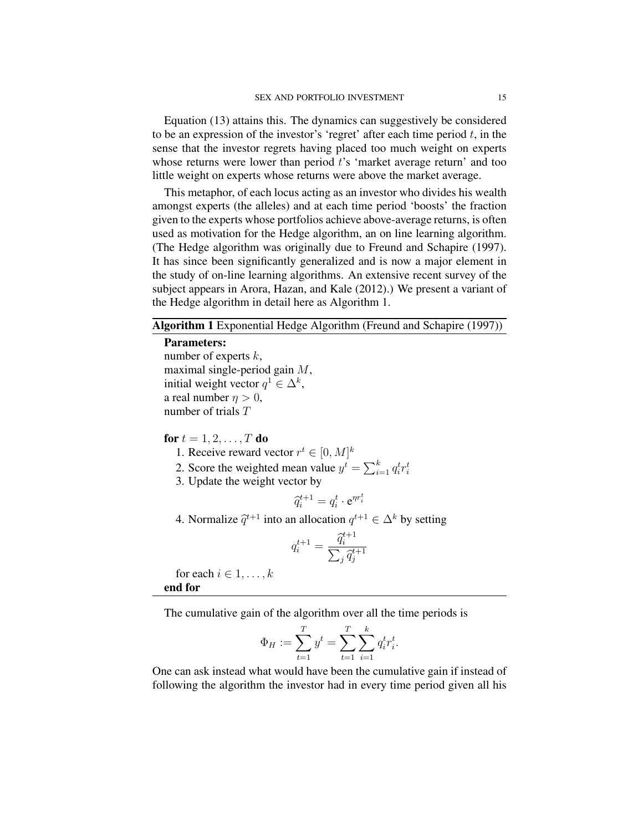Equation (13) attains this. The dynamics can suggestively be considered to be an expression of the investor's 'regret' after each time period  $t$ , in the sense that the investor regrets having placed too much weight on experts whose returns were lower than period  $t$ 's 'market average return' and too little weight on experts whose returns were above the market average.

This metaphor, of each locus acting as an investor who divides his wealth amongst experts (the alleles) and at each time period 'boosts' the fraction given to the experts whose portfolios achieve above-average returns, is often used as motivation for the Hedge algorithm, an on line learning algorithm. (The Hedge algorithm was originally due to Freund and Schapire (1997). It has since been significantly generalized and is now a major element in the study of on-line learning algorithms. An extensive recent survey of the subject appears in Arora, Hazan, and Kale (2012).) We present a variant of the Hedge algorithm in detail here as Algorithm 1.

#### Algorithm 1 Exponential Hedge Algorithm (Freund and Schapire (1997))

#### Parameters:

number of experts k, maximal single-period gain M, initial weight vector  $q^1 \in \Delta^k$ , a real number  $\eta > 0$ , number of trials T

for  $t = 1, 2, ..., T$  do

- 1. Receive reward vector  $r^t \in [0, M]^k$
- 2. Score the weighted mean value  $y^t = \sum_{i=1}^k q_i^t r_i^t$
- 3. Update the weight vector by

$$
\widehat{q}_i^{t+1} = q_i^t \cdot \mathbf{e}^{\eta r_i^t}
$$

4. Normalize  $\hat{q}^{t+1}$  into an allocation  $q^{t+1} \in \Delta^k$  by setting

$$
q_i^{t+1} = \frac{\widehat{q}_i^{t+1}}{\sum_j \widehat{q}_j^{t+1}}
$$

for each  $i \in 1, \ldots, k$ end for

The cumulative gain of the algorithm over all the time periods is

$$
\Phi_H := \sum_{t=1}^T y^t = \sum_{t=1}^T \sum_{i=1}^k q_i^t r_i^t.
$$

One can ask instead what would have been the cumulative gain if instead of following the algorithm the investor had in every time period given all his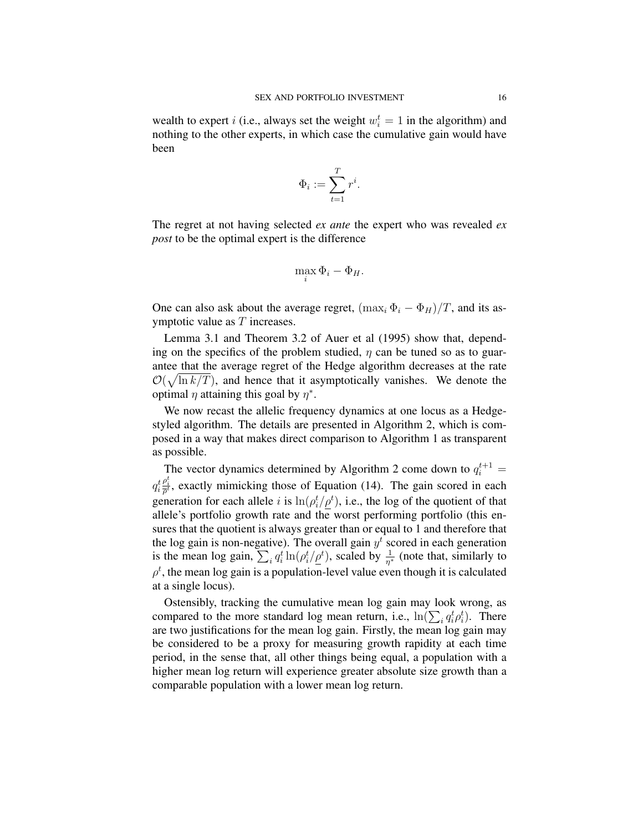wealth to expert *i* (i.e., always set the weight  $w_i^t = 1$  in the algorithm) and nothing to the other experts, in which case the cumulative gain would have been

$$
\Phi_i := \sum_{t=1}^T r^i.
$$

The regret at not having selected *ex ante* the expert who was revealed *ex post* to be the optimal expert is the difference

$$
\max_i \Phi_i - \Phi_H.
$$

One can also ask about the average regret,  $(\max_i \Phi_i - \Phi_H)/T$ , and its asymptotic value as T increases.

Lemma 3.1 and Theorem 3.2 of Auer et al (1995) show that, depending on the specifics of the problem studied,  $\eta$  can be tuned so as to guarantee that the average regret of the Hedge algorithm decreases at the rate  $\mathcal{O}(\sqrt{\ln k/T})$ , and hence that it asymptotically vanishes. We denote the optimal  $\eta$  attaining this goal by  $\eta^*$ .

We now recast the allelic frequency dynamics at one locus as a Hedgestyled algorithm. The details are presented in Algorithm 2, which is composed in a way that makes direct comparison to Algorithm 1 as transparent as possible.

The vector dynamics determined by Algorithm 2 come down to  $q_i^{t+1} =$  $q_i^t$  $\frac{\rho_i^t}{\overline{\rho}^t}$ , exactly mimicking those of Equation (14). The gain scored in each generation for each allele i is  $\ln(\rho_i^t/\rho_i^t)$ , i.e., the log of the quotient of that allele's portfolio growth rate and the worst performing portfolio (this ensures that the quotient is always greater than or equal to 1 and therefore that the log gain is non-negative). The overall gain  $y<sup>t</sup>$  scored in each generation is the mean log gain,  $\sum_i q_i^t \ln(\rho_i^t/\rho_i^t)$ , scaled by  $\frac{1}{\eta^*}$  (note that, similarly to  $\rho^t$ , the mean log gain is a population-level value even though it is calculated at a single locus).

Ostensibly, tracking the cumulative mean log gain may look wrong, as compared to the more standard log mean return, i.e.,  $\ln(\sum_i q_i^t \rho_i^t)$ . There are two justifications for the mean log gain. Firstly, the mean log gain may be considered to be a proxy for measuring growth rapidity at each time period, in the sense that, all other things being equal, a population with a higher mean log return will experience greater absolute size growth than a comparable population with a lower mean log return.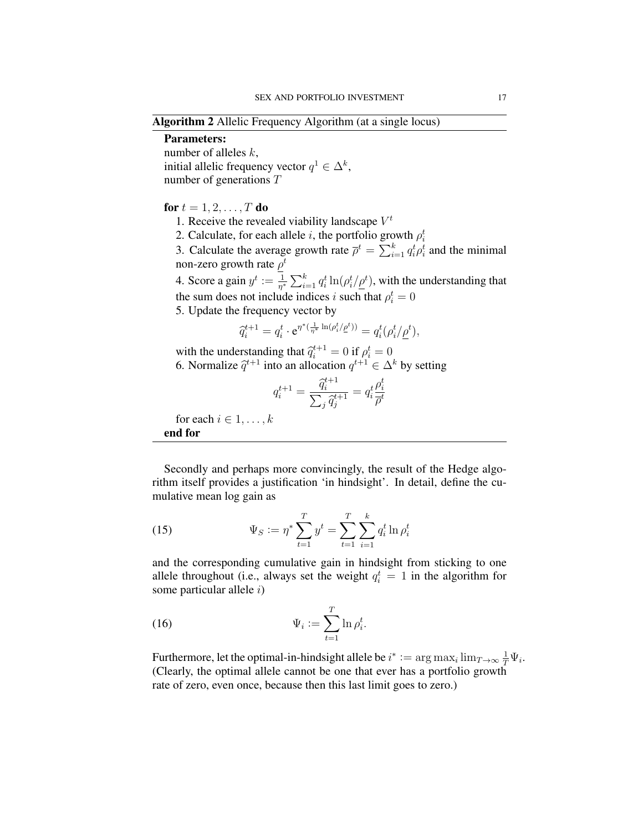#### Parameters:

number of alleles k, initial allelic frequency vector  $q^1 \in \Delta^k$ , number of generations T

**for**  $t = 1, 2, ..., T$  **do** 

1. Receive the revealed viability landscape  $V^t$ 

2. Calculate, for each allele *i*, the portfolio growth  $\rho_i^t$ 

3. Calculate the average growth rate  $\bar{\rho}^t = \sum_{i=1}^k q_i^t \rho_i^t$  and the minimal non-zero growth rate  $\rho^t$ 

4. Score a gain  $y^t := \frac{1}{n^s}$  $\frac{1}{\eta^*} \sum_{i=1}^k q_i^t \ln(\rho_i^t/\underline{\rho}^t)$ , with the understanding that the sum does not include indices i such that  $\rho_i^t = 0$ 5. Update the frequency vector by

$$
\frac{1}{\alpha + 1} + \frac{n^*(\frac{1}{2} \ln(a^t/a^t))}{n^*(\frac{1}{2} \ln(a^t/a^t))}
$$

$$
\widehat{q}_i^{t+1} = q_i^t \cdot \mathbf{e}^{\eta^*(\frac{1}{\eta^*}\ln(\rho_i^t/\underline{\rho}^t))} = q_i^t(\rho_i^t/\underline{\rho}^t),
$$

with the understanding that  $\hat{q}_i^{t+1} = 0$  if  $\rho_i^t = 0$ <br>6. Normalize  $\hat{z}_{i+1}^{t+1}$  into an ellectric  $z_{i+1}^{t+1} \subset \Delta t$ 6. Normalize  $\hat{q}^{t+1}$  into an allocation  $q^{t+1} \in \Delta^k$  by setting

$$
q_i^{t+1} = \frac{\widehat{q}_i^{t+1}}{\sum_j \widehat{q}_j^{t+1}} = q_i^t \frac{\rho_i^t}{\overline{\rho}^t}
$$

for each  $i \in 1, \ldots, k$ end for

Secondly and perhaps more convincingly, the result of the Hedge algorithm itself provides a justification 'in hindsight'. In detail, define the cumulative mean log gain as

(15) 
$$
\Psi_S := \eta^* \sum_{t=1}^T y^t = \sum_{t=1}^T \sum_{i=1}^k q_i^t \ln \rho_i^t
$$

and the corresponding cumulative gain in hindsight from sticking to one allele throughout (i.e., always set the weight  $q_i^t = 1$  in the algorithm for some particular allele i)

(16) 
$$
\Psi_i := \sum_{t=1}^T \ln \rho_i^t.
$$

Furthermore, let the optimal-in-hindsight allele be  $i^* := \arg \max_i \lim_{T \to \infty} \frac{1}{T} \Psi_i$ . (Clearly, the optimal allele cannot be one that ever has a portfolio growth rate of zero, even once, because then this last limit goes to zero.)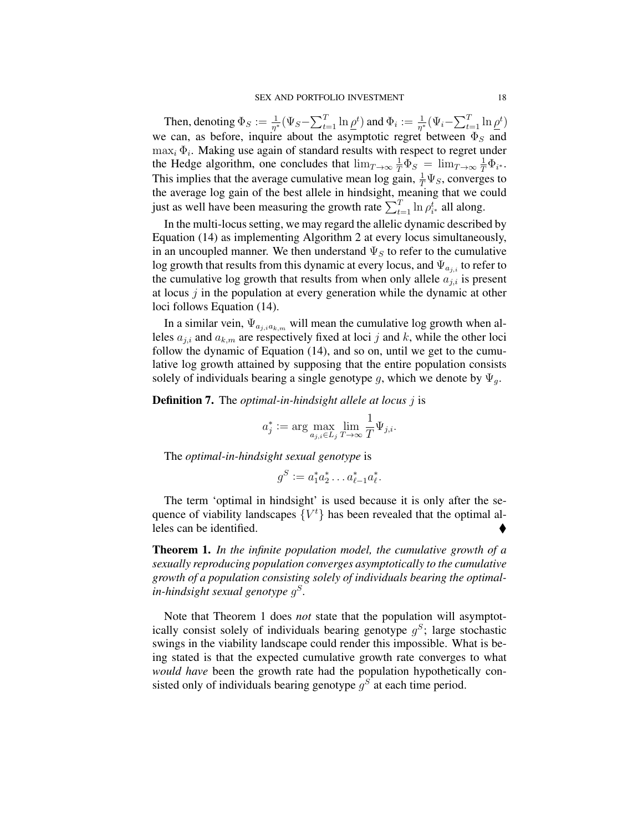Then, denoting  $\Phi_S := \frac{1}{n^*}$  $\frac{1}{\eta^*}(\Psi_S\!-\!\sum_{t=1}^T\ln\underline{\rho}^t)$  and  $\Phi_i\mathrel{\mathop:}= \frac{1}{\eta^*}$  $\frac{1}{\eta^*}(\Psi_i - \sum_{t=1}^T \ln \underline{\rho}^t)$ we can, as before, inquire about the asymptotic regret between  $\Phi_S$  and  $\max_i \Phi_i$ . Making use again of standard results with respect to regret under the Hedge algorithm, one concludes that  $\lim_{T\to\infty} \frac{1}{T} \Phi_S = \lim_{T\to\infty} \frac{1}{T} \Phi_{i^*}.$ This implies that the average cumulative mean log gain,  $\frac{1}{T}\Psi_S$ , converges to the average log gain of the best allele in hindsight, meaning that we could just as well have been measuring the growth rate  $\sum_{t=1}^{T} \ln \rho_{i^*}^t$  all along.

In the multi-locus setting, we may regard the allelic dynamic described by Equation (14) as implementing Algorithm 2 at every locus simultaneously, in an uncoupled manner. We then understand  $\Psi_S$  to refer to the cumulative log growth that results from this dynamic at every locus, and  $\Psi_{a_{j,i}}$  to refer to the cumulative log growth that results from when only allele  $a_{i,i}$  is present at locus  $j$  in the population at every generation while the dynamic at other loci follows Equation (14).

In a similar vein,  $\Psi_{a_j, a_k,m}$  will mean the cumulative log growth when alleles  $a_{j,i}$  and  $a_{k,m}$  are respectively fixed at loci j and k, while the other loci follow the dynamic of Equation (14), and so on, until we get to the cumulative log growth attained by supposing that the entire population consists solely of individuals bearing a single genotype g, which we denote by  $\Psi_q$ .

**Definition 7.** The *optimal-in-hindsight allele at locus j* is

$$
a_j^* := \arg\max_{a_{j,i}\in L_j} \lim_{T\to\infty} \frac{1}{T} \Psi_{j,i}.
$$

The *optimal-in-hindsight sexual genotype* is

$$
g^S := a_1^* a_2^* \dots a_{\ell-1}^* a_{\ell}^*.
$$

The term 'optimal in hindsight' is used because it is only after the sequence of viability landscapes  $\{V^t\}$  has been revealed that the optimal alleles can be identified.

Theorem 1. *In the infinite population model, the cumulative growth of a sexually reproducing population converges asymptotically to the cumulative growth of a population consisting solely of individuals bearing the optimalin-hindsight sexual genotype* g S *.*

Note that Theorem 1 does *not* state that the population will asymptotically consist solely of individuals bearing genotype  $g^S$ ; large stochastic swings in the viability landscape could render this impossible. What is being stated is that the expected cumulative growth rate converges to what *would have* been the growth rate had the population hypothetically consisted only of individuals bearing genotype  $g<sup>S</sup>$  at each time period.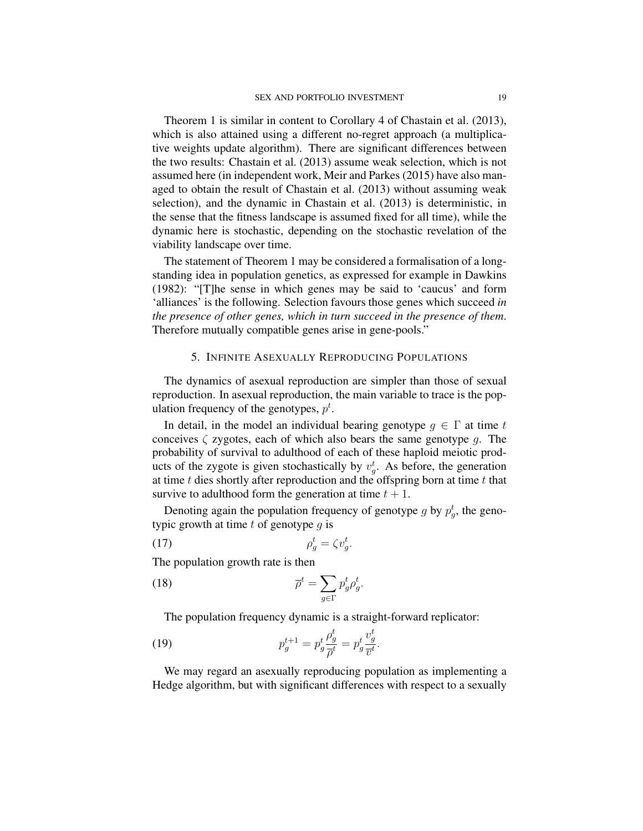Theorem 1 is similar in content to Corollary 4 of Chastain et al. (2013), which is also attained using a different no-regret approach (a multiplicative weights update algorithm). There are significant differences between the two results: Chastain et al. (2013) assume weak selection, which is not assumed here (in independent work, Meir and Parkes (2015) have also managed to obtain the result of Chastain et al. (2013) without assuming weak selection), and the dynamic in Chastain et al. (2013) is deterministic, in the sense that the fitness landscape is assumed fixed for all time), while the dynamic here is stochastic, depending on the stochastic revelation of the viability landscape over time.

The statement of Theorem 1 may be considered a formalisation of a longstanding idea in population genetics, as expressed for example in Dawkins (1982): "[T]he sense in which genes may be said to 'caucus' and form 'alliances' is the following. Selection favours those genes which succeed *in the presence of other genes, which in turn succeed in the presence of them*. Therefore mutually compatible genes arise in gene-pools."

#### 5. INFINITE ASEXUALLY REPRODUCING POPULATIONS

The dynamics of asexual reproduction are simpler than those of sexual reproduction. In asexual reproduction, the main variable to trace is the population frequency of the genotypes,  $p^t$ .

In detail, in the model an individual bearing genotype  $g \in \Gamma$  at time t conceives  $\zeta$  zygotes, each of which also bears the same genotype q. The probability of survival to adulthood of each of these haploid meiotic products of the zygote is given stochastically by  $v_g^t$ . As before, the generation at time  $t$  dies shortly after reproduction and the offspring born at time  $t$  that survive to adulthood form the generation at time  $t + 1$ .

Denoting again the population frequency of genotype g by  $p_g^t$ , the genotypic growth at time  $t$  of genotype  $q$  is

$$
\rho_g^t = \zeta v_g^t.
$$

The population growth rate is then

(18) 
$$
\overline{\rho}^t = \sum_{g \in \Gamma} p_g^t \rho_g^t.
$$

The population frequency dynamic is a straight-forward replicator:

(19) 
$$
p_g^{t+1} = p_g^t \frac{\rho_g^t}{\overline{\rho}^t} = p_g^t \frac{v_g^t}{\overline{v}^t}.
$$

We may regard an asexually reproducing population as implementing a Hedge algorithm, but with significant differences with respect to a sexually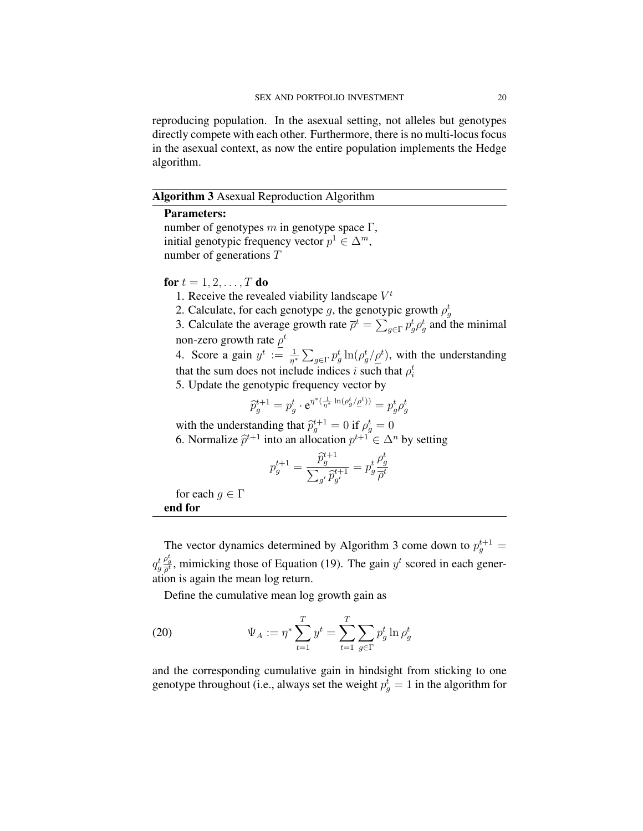reproducing population. In the asexual setting, not alleles but genotypes directly compete with each other. Furthermore, there is no multi-locus focus in the asexual context, as now the entire population implements the Hedge algorithm.

#### Algorithm 3 Asexual Reproduction Algorithm

#### Parameters:

number of genotypes m in genotype space  $\Gamma$ , initial genotypic frequency vector  $p^1 \in \Delta^m$ , number of generations T

for  $t = 1, 2, ..., T$  do

- 1. Receive the revealed viability landscape  $V^t$
- 2. Calculate, for each genotype g, the genotypic growth  $\rho_g^t$

3. Calculate the average growth rate  $\overline{\rho}^t = \sum_{g \in \Gamma} p_g^t \rho_g^t$  and the minimal non-zero growth rate  $\rho^t$ 

4. Score a gain  $y^t := \frac{1}{n^s}$  $\frac{1}{\eta^*} \sum_{g \in \Gamma} p_g^t \ln(\rho_g^t/\underline{\rho}^t)$ , with the understanding that the sum does not include indices i such that  $\rho_i^t$ 

5. Update the genotypic frequency vector by

$$
\widehat{p}_g^{t+1} = p_g^t \cdot \mathrm{e}^{\eta^*(\frac{1}{\eta^*}\ln(\rho_g^t/\underline{\rho}^t))} = p_g^t \rho_g^t
$$

with the understanding that  $\hat{p}_g^{t+1} = 0$  if  $\rho_g^t = 0$ 6. Normalize  $\hat{p}^{t+1}$  into an allocation  $p^{t+1} \in \Delta^n$  by setting

$$
p^{t+1}_g = \frac{\widehat{p}^{t+1}_g}{\sum_{g'} \widehat{p}^{t+1}_{g'}} = p^t_g \frac{\rho^t_g}{\overline{\rho}^t}
$$

for each  $g \in \Gamma$ end for

The vector dynamics determined by Algorithm 3 come down to  $p_g^{t+1} =$  $q^t_g$  $\rho_{\frac{t}{\rho}}^{t}$ , mimicking those of Equation (19). The gain  $y^{t}$  scored in each generation is again the mean log return.

Define the cumulative mean log growth gain as

(20) 
$$
\Psi_A := \eta^* \sum_{t=1}^T y^t = \sum_{t=1}^T \sum_{g \in \Gamma} p_g^t \ln \rho_g^t
$$

and the corresponding cumulative gain in hindsight from sticking to one genotype throughout (i.e., always set the weight  $p_g^t = 1$  in the algorithm for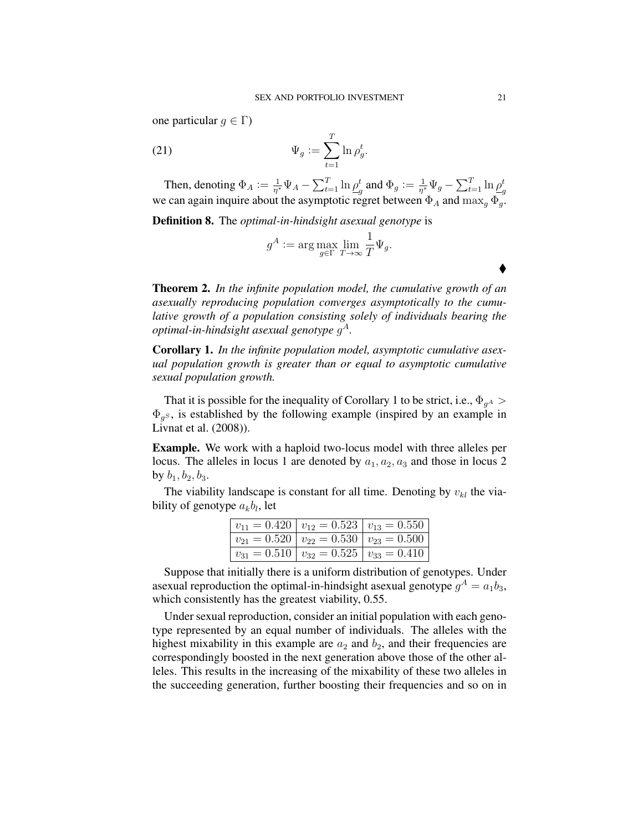one particular  $q \in \Gamma$ )

$$
\Psi_g := \sum_{t=1}^T \ln \rho_g^t
$$

Then, denoting  $\Phi_A := \frac{1}{n^*}$  $\frac{1}{\eta^*}\Psi_A - \sum_{t=1}^T \ln \underline{\rho}_q^t$  $\frac{t}{g}$  and  $\Phi_g:=\frac{1}{\eta^*}$  $\frac{1}{\eta^*}\Psi_g - \sum_{t=1}^T \ln \underline{\rho}_g^t$ g we can again inquire about the asymptotic regret between  $\Phi_A$  and  $\max_q \Phi_q$ .

.

Definition 8. The *optimal-in-hindsight asexual genotype* is

$$
g^A := \arg\max_{g \in \Gamma} \lim_{T \to \infty} \frac{1}{T} \Psi_g.
$$

Theorem 2. *In the infinite population model, the cumulative growth of an asexually reproducing population converges asymptotically to the cumulative growth of a population consisting solely of individuals bearing the optimal-in-hindsight asexual genotype* g A*.*

Corollary 1. *In the infinite population model, asymptotic cumulative asexual population growth is greater than or equal to asymptotic cumulative sexual population growth.*

That it is possible for the inequality of Corollary 1 to be strict, i.e.,  $\Phi_{g^A}$  >  $\Phi_{q^s}$ , is established by the following example (inspired by an example in Livnat et al. (2008)).

Example. We work with a haploid two-locus model with three alleles per locus. The alleles in locus 1 are denoted by  $a_1, a_2, a_3$  and those in locus 2 by  $b_1, b_2, b_3$ .

The viability landscape is constant for all time. Denoting by  $v_{kl}$  the viability of genotype  $a_kb_l$ , let

| $ v_{11} = 0.420  v_{12} = 0.523  v_{13} = 0.550$     |  |
|-------------------------------------------------------|--|
| $ v_{21}=0.520 v_{22}=0.530 v_{23}=0.500 $            |  |
| $ v_{31} = 0.510   v_{32} = 0.525   v_{33} = 0.410  $ |  |

Suppose that initially there is a uniform distribution of genotypes. Under asexual reproduction the optimal-in-hindsight asexual genotype  $g^A = a_1 b_3$ , which consistently has the greatest viability, 0.55.

Under sexual reproduction, consider an initial population with each genotype represented by an equal number of individuals. The alleles with the highest mixability in this example are  $a_2$  and  $b_2$ , and their frequencies are correspondingly boosted in the next generation above those of the other alleles. This results in the increasing of the mixability of these two alleles in the succeeding generation, further boosting their frequencies and so on in

♦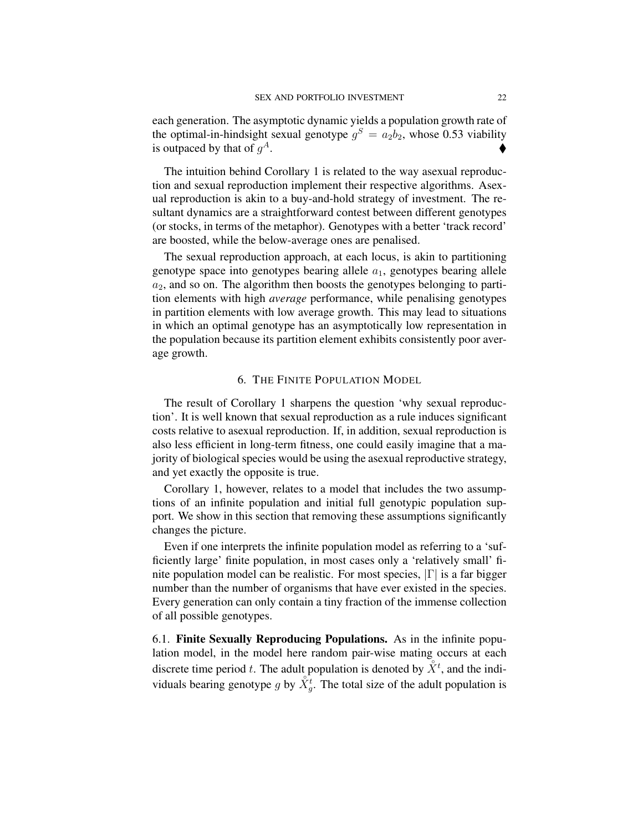each generation. The asymptotic dynamic yields a population growth rate of the optimal-in-hindsight sexual genotype  $g^S = a_2 b_2$ , whose 0.53 viability is outpaced by that of  $q^A$ .  $A$ .

The intuition behind Corollary 1 is related to the way asexual reproduction and sexual reproduction implement their respective algorithms. Asexual reproduction is akin to a buy-and-hold strategy of investment. The resultant dynamics are a straightforward contest between different genotypes (or stocks, in terms of the metaphor). Genotypes with a better 'track record' are boosted, while the below-average ones are penalised.

The sexual reproduction approach, at each locus, is akin to partitioning genotype space into genotypes bearing allele  $a_1$ , genotypes bearing allele  $a_2$ , and so on. The algorithm then boosts the genotypes belonging to partition elements with high *average* performance, while penalising genotypes in partition elements with low average growth. This may lead to situations in which an optimal genotype has an asymptotically low representation in the population because its partition element exhibits consistently poor average growth.

#### 6. THE FINITE POPULATION MODEL

The result of Corollary 1 sharpens the question 'why sexual reproduction'. It is well known that sexual reproduction as a rule induces significant costs relative to asexual reproduction. If, in addition, sexual reproduction is also less efficient in long-term fitness, one could easily imagine that a majority of biological species would be using the asexual reproductive strategy, and yet exactly the opposite is true.

Corollary 1, however, relates to a model that includes the two assumptions of an infinite population and initial full genotypic population support. We show in this section that removing these assumptions significantly changes the picture.

Even if one interprets the infinite population model as referring to a 'sufficiently large' finite population, in most cases only a 'relatively small' finite population model can be realistic. For most species, |Γ| is a far bigger number than the number of organisms that have ever existed in the species. Every generation can only contain a tiny fraction of the immense collection of all possible genotypes.

6.1. Finite Sexually Reproducing Populations. As in the infinite population model, in the model here random pair-wise mating occurs at each discrete time period t. The adult population is denoted by  $\mathring{X}^t$ , and the individuals bearing genotype g by  $\mathring{X}_{g}^{t}$ . The total size of the adult population is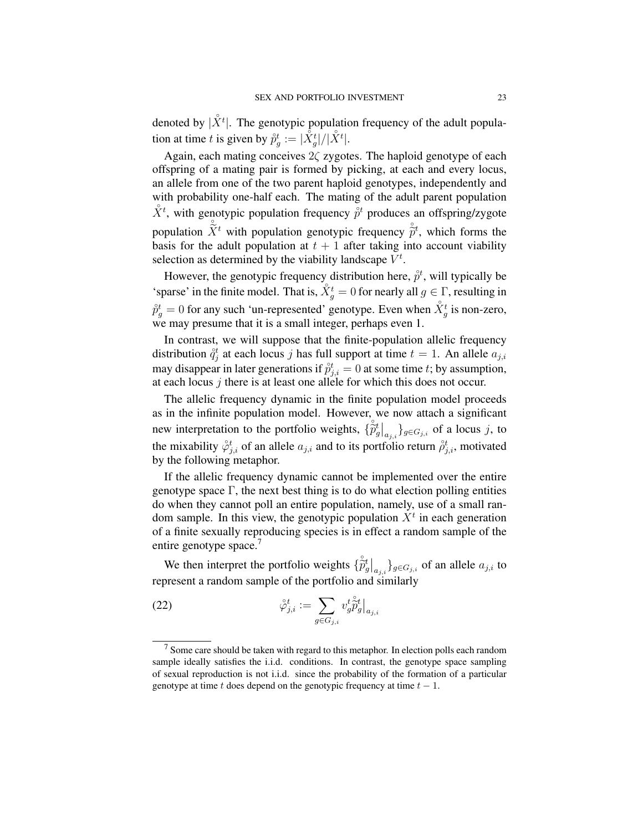denoted by  $|\mathring{X}^t|$ . The genotypic population frequency of the adult population at time t is given by  $\mathring{p}_g^t := |\mathring{X}_g^t|/|\mathring{X}^t|$ .

Again, each mating conceives  $2\zeta$  zygotes. The haploid genotype of each offspring of a mating pair is formed by picking, at each and every locus, an allele from one of the two parent haploid genotypes, independently and with probability one-half each. The mating of the adult parent population  $\mathring{X}^t$ , with genotypic population frequency  $\mathring{p}^t$  produces an offspring/zygote population  $\tilde{X}^t$  with population genotypic frequency  $\tilde{p}^t$ , which forms the basis for the adult population at  $t + 1$  after taking into account viability selection as determined by the viability landscape  $V^t$ .

However, the genotypic frequency distribution here,  $\hat{p}^t$ , will typically be 'sparse' in the finite model. That is,  $\mathring{X}_g^t = 0$  for nearly all  $g \in \Gamma$ , resulting in  $\mathring{p}_g^t = 0$  for any such 'un-represented' genotype. Even when  $\mathring{X}_g^t$  is non-zero, we may presume that it is a small integer, perhaps even 1.

In contrast, we will suppose that the finite-population allelic frequency distribution  $\hat{q}_j^t$  at each locus j has full support at time  $t = 1$ . An allele  $a_{j,i}$ may disappear in later generations if  $\hat{p}_{j,i}^t = 0$  at some time t; by assumption, at each locus  $j$  there is at least one allele for which this does not occur.

The allelic frequency dynamic in the finite population model proceeds as in the infinite population model. However, we now attach a significant new interpretation to the portfolio weights,  $\{\hat{\vec{p}}_g^t|_{a_{j,i}}\}_{g \in G_{j,i}}$  of a locus j, to the mixability  $\hat{\varphi}_{j,i}^t$  of an allele  $a_{j,i}$  and to its portfolio return  $\hat{\rho}_{j,i}^t$ , motivated by the following metaphor.

If the allelic frequency dynamic cannot be implemented over the entire genotype space  $\Gamma$ , the next best thing is to do what election polling entities do when they cannot poll an entire population, namely, use of a small random sample. In this view, the genotypic population  $X<sup>t</sup>$  in each generation of a finite sexually reproducing species is in effect a random sample of the entire genotype space.

We then interpret the portfolio weights  $\{\hat{p}_g^t\}_{a_{j,i}}\}_{g \in G_{j,i}}$  of an allele  $a_{j,i}$  to represent a random sample of the portfolio and similarly

(22) 
$$
\hat{\varphi}_{j,i}^t := \sum_{g \in G_{j,i}} v_g^t \hat{\tilde{p}}_g^t \big|_{a_{j,i}}
$$

 $7$  Some care should be taken with regard to this metaphor. In election polls each random sample ideally satisfies the i.i.d. conditions. In contrast, the genotype space sampling of sexual reproduction is not i.i.d. since the probability of the formation of a particular genotype at time t does depend on the genotypic frequency at time  $t - 1$ .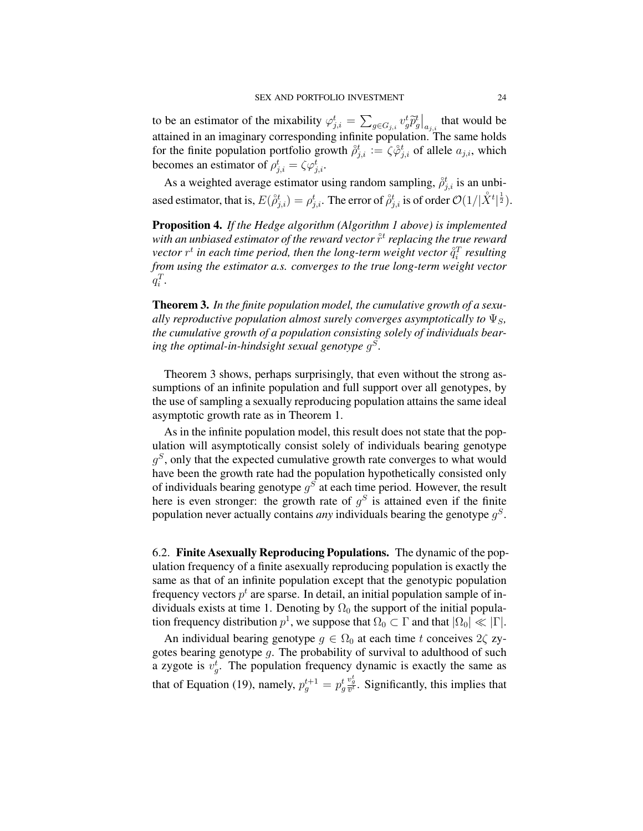to be an estimator of the mixability  $\varphi_{j,i}^t = \sum_{g \in G_{j,i}} v_g^t \widetilde{p}_g^t \Big|_{a_{j,i}}$  that would be attained in an imaginary corresponding infinite population. The same holds for the finite population portfolio growth  $\hat{\rho}_{j,i}^t := \zeta \hat{\varphi}_{j,i}^t$  of allele  $a_{j,i}$ , which becomes an estimator of  $\rho_{j,i}^t = \zeta \varphi_{j,i}^t$ .

As a weighted average estimator using random sampling,  $\hat{\rho}_{j,i}^{t}$  is an unbiased estimator, that is,  $E(\mathring{\rho}_{j,i}^t)=\rho_{j,i}^t.$  The error of  $\mathring{\rho}_{j,i}^t$  is of order  $\mathcal{O}(1/|\mathring{X}^t|^{\frac{1}{2}}).$ 

Proposition 4. *If the Hedge algorithm (Algorithm 1 above) is implemented* with an unbiased estimator of the reward vector  $\mathring{r}^t$  replacing the true reward vector  $r^t$  in each time period, then the long-term weight vector  $\mathring{q}_i^T$  resulting *from using the estimator a.s. converges to the true long-term weight vector*  $q_i^T$ .

Theorem 3. *In the finite population model, the cumulative growth of a sexually reproductive population almost surely converges asymptotically to*  $\Psi$ <sub>*S</sub>*,</sub> *the cumulative growth of a population consisting solely of individuals bearing the optimal-in-hindsight sexual genotype* g S *.*

Theorem 3 shows, perhaps surprisingly, that even without the strong assumptions of an infinite population and full support over all genotypes, by the use of sampling a sexually reproducing population attains the same ideal asymptotic growth rate as in Theorem 1.

As in the infinite population model, this result does not state that the population will asymptotically consist solely of individuals bearing genotype  $g^S$ , only that the expected cumulative growth rate converges to what would have been the growth rate had the population hypothetically consisted only of individuals bearing genotype  $g^S$  at each time period. However, the result here is even stronger: the growth rate of  $g<sup>S</sup>$  is attained even if the finite population never actually contains *any* individuals bearing the genotype  $g^S$ .

6.2. Finite Asexually Reproducing Populations. The dynamic of the population frequency of a finite asexually reproducing population is exactly the same as that of an infinite population except that the genotypic population frequency vectors  $p^t$  are sparse. In detail, an initial population sample of individuals exists at time 1. Denoting by  $\Omega_0$  the support of the initial population frequency distribution  $p^1$ , we suppose that  $\Omega_0 \subset \Gamma$  and that  $|\Omega_0| \ll |\Gamma|$ .

An individual bearing genotype  $g \in \Omega_0$  at each time t conceives  $2\zeta$  zygotes bearing genotype  $g$ . The probability of survival to adulthood of such a zygote is  $v_g^t$ . The population frequency dynamic is exactly the same as that of Equation (19), namely,  $p_g^{t+1} = p_g^t$  $\frac{v_g^t}{\overline{v}^t}$ . Significantly, this implies that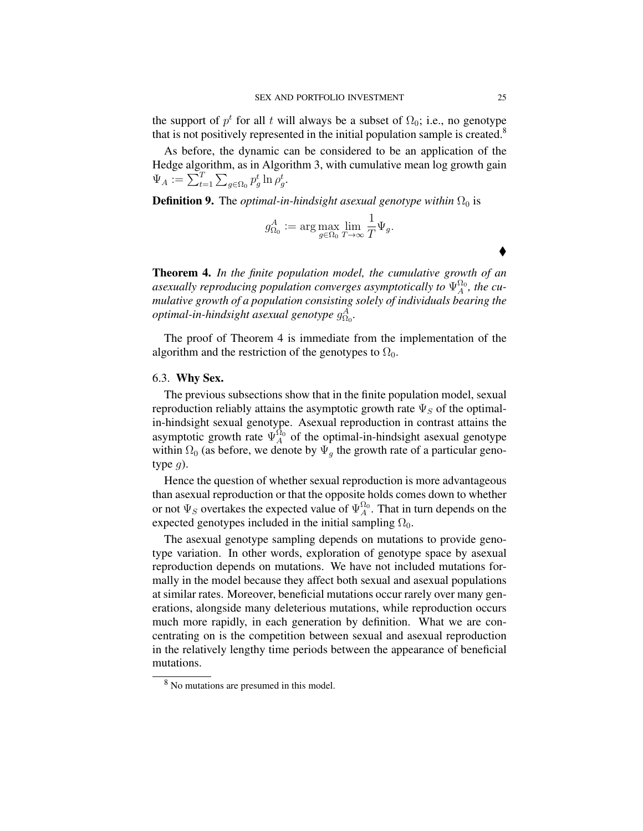the support of  $p^t$  for all t will always be a subset of  $\Omega_0$ ; i.e., no genotype that is not positively represented in the initial population sample is created.<sup>8</sup>

As before, the dynamic can be considered to be an application of the Hedge algorithm, as in Algorithm 3, with cumulative mean log growth gain  $\Psi_A := \sum_{t=1}^T \sum_{g \in \Omega_0} p_g^t \ln \rho_g^t.$ 

**Definition 9.** The *optimal-in-hindsight asexual genotype within*  $\Omega_0$  is

$$
g_{\Omega_0}^A := \arg \max_{g \in \Omega_0} \lim_{T \to \infty} \frac{1}{T} \Psi_g.
$$

Theorem 4. *In the finite population model, the cumulative growth of an* asexually reproducing population converges asymptotically to  $\Psi_A^{\Omega_0}$ , the cu*mulative growth of a population consisting solely of individuals bearing the optimal-in-hindsight asexual genotype*  $g_{\Omega_0}^A$ .

The proof of Theorem 4 is immediate from the implementation of the algorithm and the restriction of the genotypes to  $\Omega_0$ .

#### 6.3. Why Sex.

The previous subsections show that in the finite population model, sexual reproduction reliably attains the asymptotic growth rate  $\Psi_S$  of the optimalin-hindsight sexual genotype. Asexual reproduction in contrast attains the asymptotic growth rate  $\Psi_A^{\Omega_0}$  of the optimal-in-hindsight asexual genotype within  $\Omega_0$  (as before, we denote by  $\Psi_g$  the growth rate of a particular genotype  $g$ ).

Hence the question of whether sexual reproduction is more advantageous than asexual reproduction or that the opposite holds comes down to whether or not  $\Psi_S$  overtakes the expected value of  $\Psi_A^{\Omega_0}$ . That in turn depends on the expected genotypes included in the initial sampling  $\Omega_0$ .

The asexual genotype sampling depends on mutations to provide genotype variation. In other words, exploration of genotype space by asexual reproduction depends on mutations. We have not included mutations formally in the model because they affect both sexual and asexual populations at similar rates. Moreover, beneficial mutations occur rarely over many generations, alongside many deleterious mutations, while reproduction occurs much more rapidly, in each generation by definition. What we are concentrating on is the competition between sexual and asexual reproduction in the relatively lengthy time periods between the appearance of beneficial mutations.

♦

<sup>8</sup> No mutations are presumed in this model.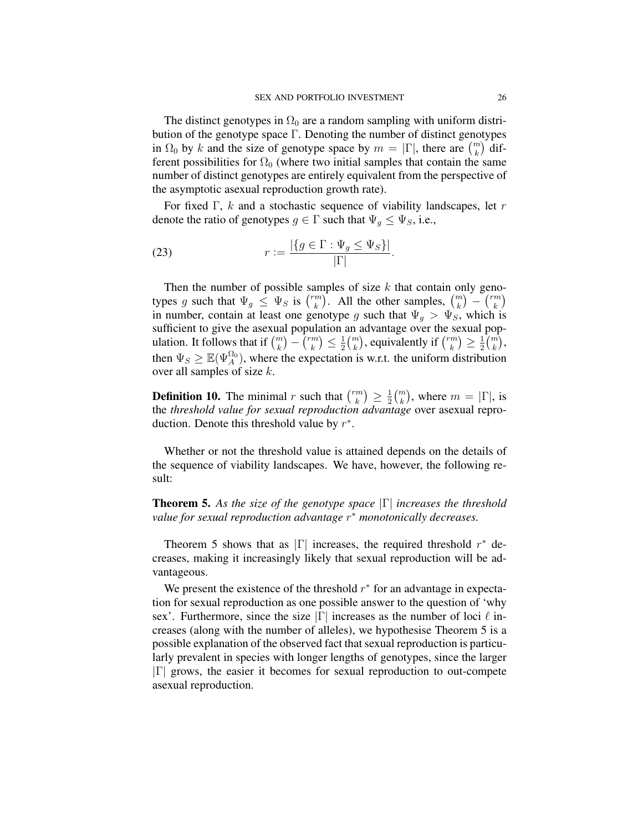The distinct genotypes in  $\Omega_0$  are a random sampling with uniform distribution of the genotype space Γ. Denoting the number of distinct genotypes in  $\Omega_0$  by k and the size of genotype space by  $m = |\Gamma|$ , there are  $\binom{m}{k}$  different possibilities for  $\Omega_0$  (where two initial samples that contain the same number of distinct genotypes are entirely equivalent from the perspective of the asymptotic asexual reproduction growth rate).

For fixed Γ, k and a stochastic sequence of viability landscapes, let r denote the ratio of genotypes  $g \in \Gamma$  such that  $\Psi_g \leq \Psi_S$ , i.e.,

.

(23) 
$$
r := \frac{|\{g \in \Gamma : \Psi_g \le \Psi_S\}|}{|\Gamma|}
$$

Then the number of possible samples of size  $k$  that contain only genotypes g such that  $\Psi_g \leq \Psi_S$  is  $\binom{rm}{k}$  $\binom{m}{k}$ . All the other samples,  $\binom{m}{k}$  –  $\binom{rm}{k}$  $\binom{m}{k}$ in number, contain at least one genotype g such that  $\Psi_g > \Psi_s$ , which is sufficient to give the asexual population an advantage over the sexual population. It follows that if  $\binom{m}{k} - \binom{rm}{k}$  $\binom{m}{k} \leq \frac{1}{2}$  $\frac{1}{2} \binom{m}{k}$ , equivalently if  $\binom{rm}{k}$  $\binom{m}{k} \geq \frac{1}{2}$  $\frac{1}{2}$  $\binom{m}{k}$ , then  $\Psi_S \geq \mathbb{E}(\Psi_A^{\Omega_0})$ , where the expectation is w.r.t. the uniform distribution over all samples of size k.

**Definition 10.** The minimal r such that  $\binom{rm}{k}$  $\binom{m}{k} \geq \frac{1}{2}$  $\frac{1}{2} {m \choose k}$ , where  $m = |\Gamma|$ , is the *threshold value for sexual reproduction advantage* over asexual reproduction. Denote this threshold value by  $r^*$ .

Whether or not the threshold value is attained depends on the details of the sequence of viability landscapes. We have, however, the following result:

Theorem 5. *As the size of the genotype space* |Γ| *increases the threshold value for sexual reproduction advantage* r <sup>∗</sup> *monotonically decreases.*

Theorem 5 shows that as  $|\Gamma|$  increases, the required threshold  $r^*$  decreases, making it increasingly likely that sexual reproduction will be advantageous.

We present the existence of the threshold  $r^*$  for an advantage in expectation for sexual reproduction as one possible answer to the question of 'why sex'. Furthermore, since the size  $|\Gamma|$  increases as the number of loci  $\ell$  increases (along with the number of alleles), we hypothesise Theorem 5 is a possible explanation of the observed fact that sexual reproduction is particularly prevalent in species with longer lengths of genotypes, since the larger  $|\Gamma|$  grows, the easier it becomes for sexual reproduction to out-compete asexual reproduction.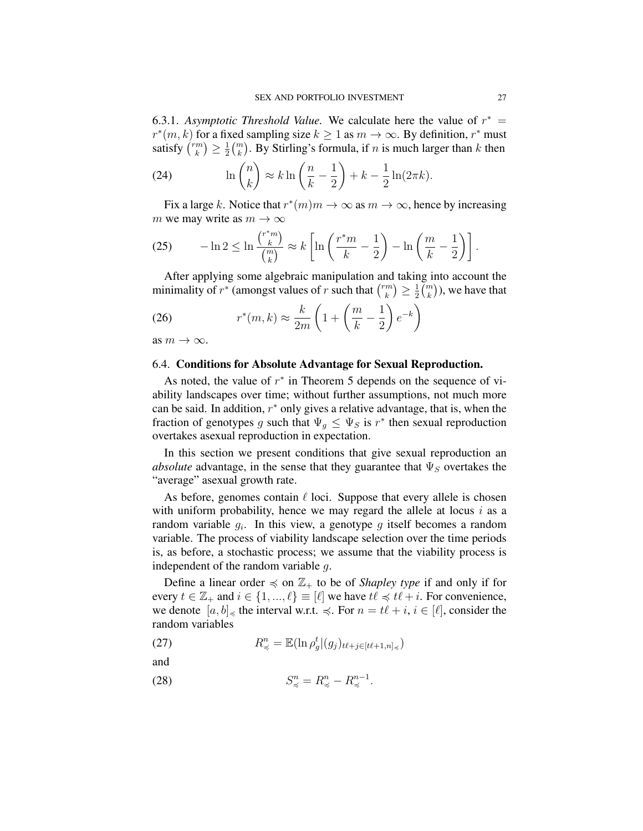6.3.1. Asymptotic Threshold Value. We calculate here the value of  $r^* =$  $r^*(m, k)$  for a fixed sampling size  $k \ge 1$  as  $m \to \infty$ . By definition,  $r^*$  must satisfy  $\binom{rm}{k}$  $\binom{m}{k} \geq \frac{1}{2}$  $\frac{1}{2} {m \choose k}$ . By Stirling's formula, if *n* is much larger than *k* then

(24) 
$$
\ln \binom{n}{k} \approx k \ln \left( \frac{n}{k} - \frac{1}{2} \right) + k - \frac{1}{2} \ln(2\pi k).
$$

Fix a large k. Notice that  $r^*(m)m \to \infty$  as  $m \to \infty$ , hence by increasing m we may write as  $m \to \infty$ 

(25) 
$$
-\ln 2 \le \ln \frac{\binom{r^*m}{k}}{\binom{m}{k}} \approx k \left[ \ln \left( \frac{r^*m}{k} - \frac{1}{2} \right) - \ln \left( \frac{m}{k} - \frac{1}{2} \right) \right].
$$

After applying some algebraic manipulation and taking into account the minimality of  $r^*$  (amongst values of r such that  $\binom{rm}{k}$  $\binom{m}{k} \geq \frac{1}{2}$  $\frac{1}{2} \binom{m}{k}$ ), we have that

(26) 
$$
r^*(m,k) \approx \frac{k}{2m} \left( 1 + \left( \frac{m}{k} - \frac{1}{2} \right) e^{-k} \right)
$$

as  $m \to \infty$ .

#### 6.4. Conditions for Absolute Advantage for Sexual Reproduction.

As noted, the value of  $r^*$  in Theorem 5 depends on the sequence of viability landscapes over time; without further assumptions, not much more can be said. In addition,  $r^*$  only gives a relative advantage, that is, when the fraction of genotypes g such that  $\Psi_g \leq \Psi_S$  is  $r^*$  then sexual reproduction overtakes asexual reproduction in expectation.

In this section we present conditions that give sexual reproduction an *absolute* advantage, in the sense that they guarantee that  $\Psi_S$  overtakes the "average" asexual growth rate.

As before, genomes contain  $\ell$  loci. Suppose that every allele is chosen with uniform probability, hence we may regard the allele at locus  $i$  as a random variable  $g_i$ . In this view, a genotype g itself becomes a random variable. The process of viability landscape selection over the time periods is, as before, a stochastic process; we assume that the viability process is independent of the random variable g.

Define a linear order  $\preccurlyeq$  on  $\mathbb{Z}_+$  to be of *Shapley type* if and only if for every  $t \in \mathbb{Z}_+$  and  $i \in \{1, ..., \ell\} \equiv [\ell]$  we have  $t\ell \preccurlyeq t\ell + i$ . For convenience, we denote  $[a, b]_{\preccurlyeq}$  the interval w.r.t.  $\preccurlyeq$ . For  $n = t\ell + i, i \in [\ell]$ , consider the random variables

(27) 
$$
R_{\preccurlyeq}^n = \mathbb{E}(\ln \rho_g^t | (g_j)_{t\ell+j\in[t\ell+1,n]_{\preccurlyeq}})
$$

and

$$
(28) \t\t S_{\preccurlyeq}^n = R_{\preccurlyeq}^n - R_{\preccurlyeq}^{n-1}.
$$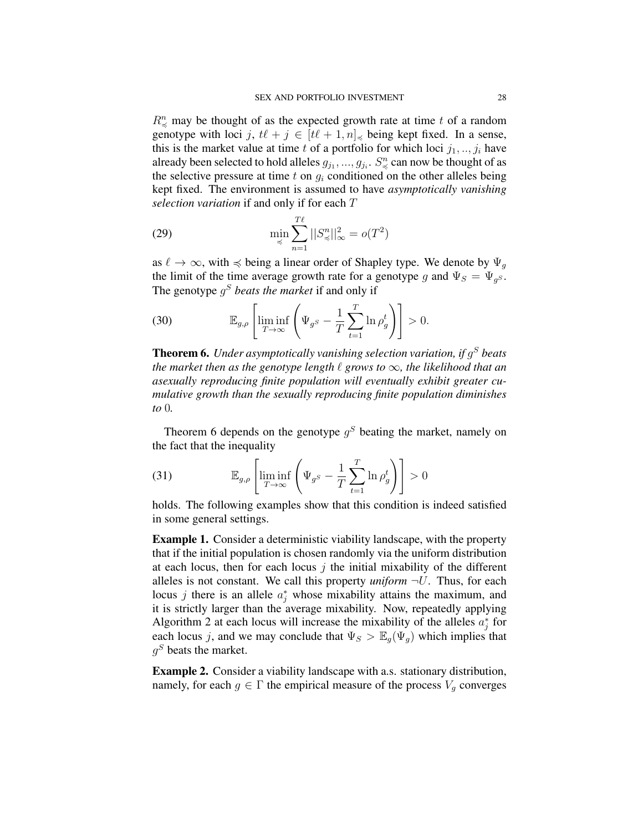$R^n_{\preccurlyeq}$  may be thought of as the expected growth rate at time t of a random genotype with loci j,  $t\ell + j \in [t\ell + 1, n]$ , being kept fixed. In a sense, this is the market value at time t of a portfolio for which loci  $j_1, \ldots, j_i$  have already been selected to hold alleles  $g_{j_1},..., g_{j_i}.$   $S_\preccurlyeq^n$  can now be thought of as the selective pressure at time t on  $q_i$  conditioned on the other alleles being kept fixed. The environment is assumed to have *asymptotically vanishing selection variation* if and only if for each T

(29) 
$$
\min_{\preccurlyeq} \sum_{n=1}^{T\ell} ||S_{\preccurlyeq}^{n}||_{\infty}^{2} = o(T^{2})
$$

as  $\ell \to \infty$ , with  $\preccurlyeq$  being a linear order of Shapley type. We denote by  $\Psi_g$ the limit of the time average growth rate for a genotype g and  $\Psi_S = \Psi_{g^S}$ . The genotype g <sup>S</sup> *beats the market* if and only if

(30) 
$$
\mathbb{E}_{g,\rho}\left[\liminf_{T\to\infty}\left(\Psi_{g^S}-\frac{1}{T}\sum_{t=1}^T\ln\rho_g^t\right)\right]>0.
$$

Theorem 6. *Under asymptotically vanishing selection variation, if* g <sup>S</sup> *beats the market then as the genotype length*  $\ell$  *grows to*  $\infty$ *, the likelihood that an asexually reproducing finite population will eventually exhibit greater cumulative growth than the sexually reproducing finite population diminishes to* 0*.*

Theorem 6 depends on the genotype  $g^S$  beating the market, namely on the fact that the inequality

(31) 
$$
\mathbb{E}_{g,\rho}\left[\liminf_{T\to\infty}\left(\Psi_{g^S}-\frac{1}{T}\sum_{t=1}^T\ln\rho_g^t\right)\right]>0
$$

holds. The following examples show that this condition is indeed satisfied in some general settings.

Example 1. Consider a deterministic viability landscape, with the property that if the initial population is chosen randomly via the uniform distribution at each locus, then for each locus  $j$  the initial mixability of the different alleles is not constant. We call this property *uniform*  $\neg U$ . Thus, for each locus *j* there is an allele  $a_j^*$  whose mixability attains the maximum, and it is strictly larger than the average mixability. Now, repeatedly applying Algorithm 2 at each locus will increase the mixability of the alleles  $a_j^*$  for each locus j, and we may conclude that  $\Psi_S > \mathbb{E}_g(\Psi_g)$  which implies that  $g^S$  beats the market.

Example 2. Consider a viability landscape with a.s. stationary distribution, namely, for each  $g \in \Gamma$  the empirical measure of the process  $V_g$  converges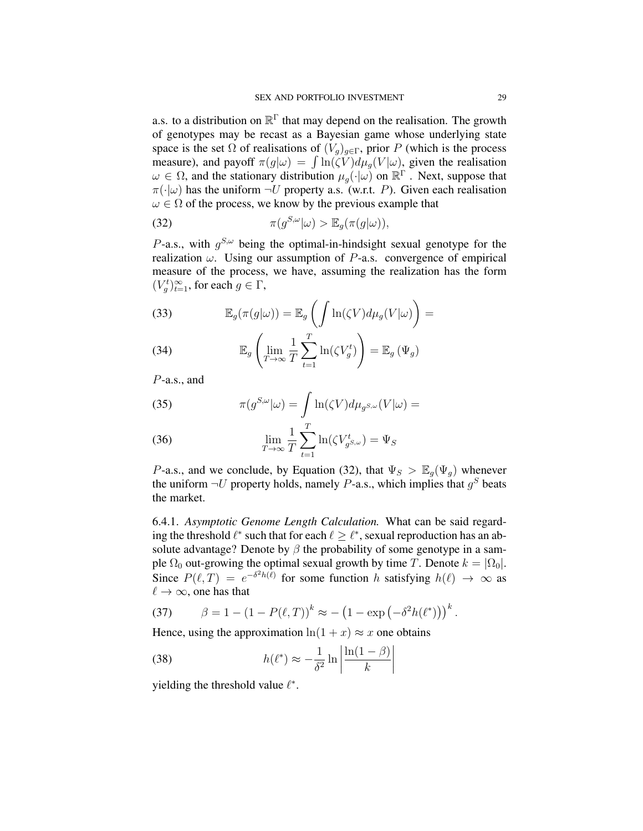a.s. to a distribution on  $\mathbb{R}^{\Gamma}$  that may depend on the realisation. The growth of genotypes may be recast as a Bayesian game whose underlying state space is the set  $\Omega$  of realisations of  $(V_q)_{q \in \Gamma}$ , prior P (which is the process measure), and payoff  $\pi(g|\omega) = \int \ln(\zeta V) d\mu_g(V|\omega)$ , given the realisation  $\omega \in \Omega$ , and the stationary distribution  $\mu_g(\cdot|\omega)$  on  $\mathbb{R}^{\Gamma}$ . Next, suppose that  $\pi(\cdot|\omega)$  has the uniform  $\neg U$  property a.s. (w.r.t. P). Given each realisation  $\omega \in \Omega$  of the process, we know by the previous example that

(32) 
$$
\pi(g^{S,\omega}|\omega) > \mathbb{E}_g(\pi(g|\omega)),
$$

P-a.s., with  $g^{S,\omega}$  being the optimal-in-hindsight sexual genotype for the realization  $\omega$ . Using our assumption of *P*-a.s. convergence of empirical measure of the process, we have, assuming the realization has the form  $(V_g^t)_{t=1}^{\infty}$ , for each  $g \in \Gamma$ ,

(33) 
$$
\mathbb{E}_g(\pi(g|\omega)) = \mathbb{E}_g\left(\int \ln(\zeta V)d\mu_g(V|\omega)\right) =
$$

(34) 
$$
\mathbb{E}_g \left( \lim_{T \to \infty} \frac{1}{T} \sum_{t=1}^T \ln(\zeta V_g^t) \right) = \mathbb{E}_g \left( \Psi_g \right)
$$

P-a.s., and

(35) 
$$
\pi(g^{S,\omega}|\omega) = \int \ln(\zeta V) d\mu_{g^{S,\omega}}(V|\omega) =
$$

(36) 
$$
\lim_{T \to \infty} \frac{1}{T} \sum_{t=1}^{T} \ln(\zeta V_{g^{S,\omega}}^t) = \Psi_S
$$

P-a.s., and we conclude, by Equation (32), that  $\Psi_S > \mathbb{E}_g(\Psi_g)$  whenever the uniform  $\neg U$  property holds, namely P-a.s., which implies that  $g^S$  beats the market.

6.4.1. *Asymptotic Genome Length Calculation.* What can be said regarding the threshold  $\ell^*$  such that for each  $\ell \geq \ell^*$ , sexual reproduction has an absolute advantage? Denote by  $\beta$  the probability of some genotype in a sample  $\Omega_0$  out-growing the optimal sexual growth by time T. Denote  $k = |\Omega_0|$ . Since  $P(\ell, T) = e^{-\delta^2 h(\ell)}$  for some function h satisfying  $h(\ell) \to \infty$  as  $\ell \to \infty$ , one has that

(37) 
$$
\beta = 1 - (1 - P(\ell, T))^k \approx - (1 - \exp(-\delta^2 h(\ell^*))^k.
$$

Hence, using the approximation  $ln(1 + x) \approx x$  one obtains

(38) 
$$
h(\ell^*) \approx -\frac{1}{\delta^2} \ln \left| \frac{\ln(1-\beta)}{k} \right|
$$

yielding the threshold value  $\ell^*$ .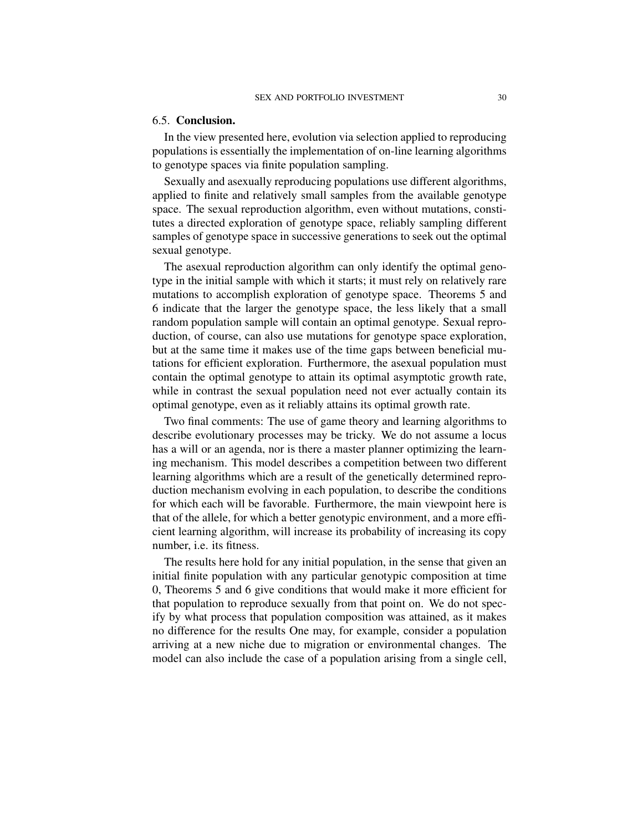#### 6.5. Conclusion.

In the view presented here, evolution via selection applied to reproducing populations is essentially the implementation of on-line learning algorithms to genotype spaces via finite population sampling.

Sexually and asexually reproducing populations use different algorithms, applied to finite and relatively small samples from the available genotype space. The sexual reproduction algorithm, even without mutations, constitutes a directed exploration of genotype space, reliably sampling different samples of genotype space in successive generations to seek out the optimal sexual genotype.

The asexual reproduction algorithm can only identify the optimal genotype in the initial sample with which it starts; it must rely on relatively rare mutations to accomplish exploration of genotype space. Theorems 5 and 6 indicate that the larger the genotype space, the less likely that a small random population sample will contain an optimal genotype. Sexual reproduction, of course, can also use mutations for genotype space exploration, but at the same time it makes use of the time gaps between beneficial mutations for efficient exploration. Furthermore, the asexual population must contain the optimal genotype to attain its optimal asymptotic growth rate, while in contrast the sexual population need not ever actually contain its optimal genotype, even as it reliably attains its optimal growth rate.

Two final comments: The use of game theory and learning algorithms to describe evolutionary processes may be tricky. We do not assume a locus has a will or an agenda, nor is there a master planner optimizing the learning mechanism. This model describes a competition between two different learning algorithms which are a result of the genetically determined reproduction mechanism evolving in each population, to describe the conditions for which each will be favorable. Furthermore, the main viewpoint here is that of the allele, for which a better genotypic environment, and a more efficient learning algorithm, will increase its probability of increasing its copy number, i.e. its fitness.

The results here hold for any initial population, in the sense that given an initial finite population with any particular genotypic composition at time 0, Theorems 5 and 6 give conditions that would make it more efficient for that population to reproduce sexually from that point on. We do not specify by what process that population composition was attained, as it makes no difference for the results One may, for example, consider a population arriving at a new niche due to migration or environmental changes. The model can also include the case of a population arising from a single cell,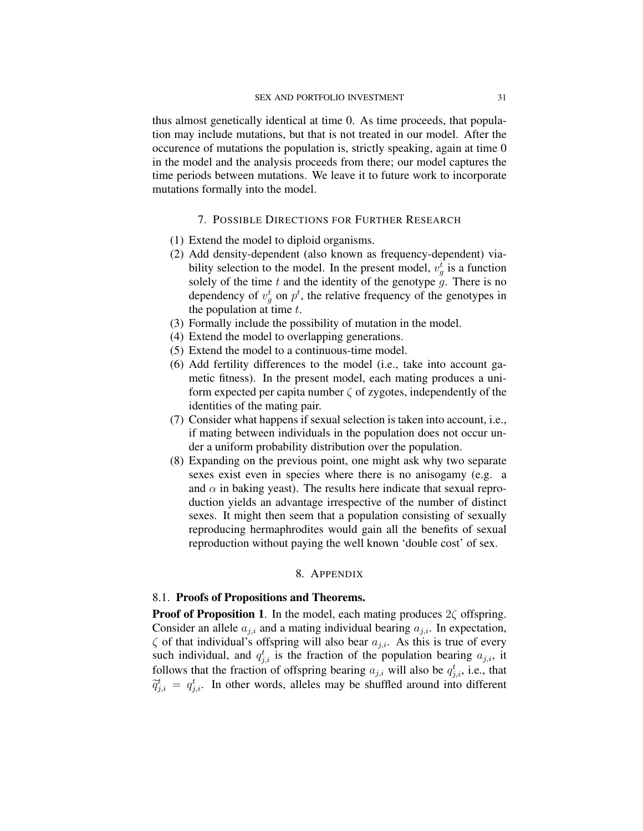thus almost genetically identical at time 0. As time proceeds, that population may include mutations, but that is not treated in our model. After the occurence of mutations the population is, strictly speaking, again at time 0 in the model and the analysis proceeds from there; our model captures the time periods between mutations. We leave it to future work to incorporate mutations formally into the model.

#### 7. POSSIBLE DIRECTIONS FOR FURTHER RESEARCH

- (1) Extend the model to diploid organisms.
- (2) Add density-dependent (also known as frequency-dependent) viability selection to the model. In the present model,  $v_g^t$  is a function solely of the time  $t$  and the identity of the genotype  $g$ . There is no dependency of  $v_g^t$  on  $p^t$ , the relative frequency of the genotypes in the population at time  $t$ .
- (3) Formally include the possibility of mutation in the model.
- (4) Extend the model to overlapping generations.
- (5) Extend the model to a continuous-time model.
- (6) Add fertility differences to the model (i.e., take into account gametic fitness). In the present model, each mating produces a uniform expected per capita number  $\zeta$  of zygotes, independently of the identities of the mating pair.
- (7) Consider what happens if sexual selection is taken into account, i.e., if mating between individuals in the population does not occur under a uniform probability distribution over the population.
- (8) Expanding on the previous point, one might ask why two separate sexes exist even in species where there is no anisogamy (e.g. a and  $\alpha$  in baking yeast). The results here indicate that sexual reproduction yields an advantage irrespective of the number of distinct sexes. It might then seem that a population consisting of sexually reproducing hermaphrodites would gain all the benefits of sexual reproduction without paying the well known 'double cost' of sex.

#### 8. APPENDIX

#### 8.1. Proofs of Propositions and Theorems.

**Proof of Proposition 1.** In the model, each mating produces  $2\zeta$  offspring. Consider an allele  $a_{j,i}$  and a mating individual bearing  $a_{j,i}$ . In expectation,  $\zeta$  of that individual's offspring will also bear  $a_{j,i}$ . As this is true of every such individual, and  $q_{j,i}^t$  is the fraction of the population bearing  $a_{j,i}$ , it follows that the fraction of offspring bearing  $a_{j,i}$  will also be  $q_{j,i}^t$ , i.e., that  $\widetilde{q}_{j,i}^t = q_{j,i}^t$ . In other words, alleles may be shuffled around into different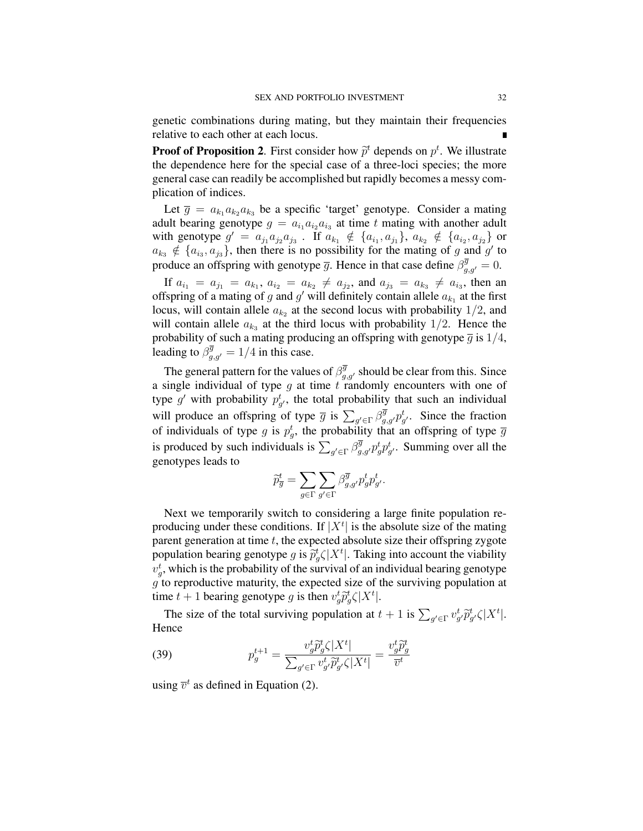genetic combinations during mating, but they maintain their frequencies relative to each other at each locus.

**Proof of Proposition 2.** First consider how  $\tilde{p}^t$  depends on  $p^t$ . We illustrate the dependence here for the special case of a three-loci species; the more general case can readily be accomplished but rapidly becomes a messy complication of indices.

Let  $\overline{g} = a_{k_1} a_{k_2} a_{k_3}$  be a specific 'target' genotype. Consider a mating adult bearing genotype  $g = a_{i_1} a_{i_2} a_{i_3}$  at time t mating with another adult with genotype  $g' = a_{j_1} a_{j_2} a_{j_3}$ . If  $a_{k_1} \notin \{a_{i_1}, a_{j_1}\}, a_{k_2} \notin \{a_{i_2}, a_{j_2}\}$  or  $a_{k_3} \notin \{a_{i_3}, a_{j_3}\}\$ , then there is no possibility for the mating of g and g' to produce an offspring with genotype  $\overline{g}$ . Hence in that case define  $\beta_{g,g'}^{\overline{g}} = 0$ .

If  $a_{i_1} = a_{j_1} = a_{k_1}, a_{i_2} = a_{k_2} \neq a_{j_2}$ , and  $a_{j_3} = a_{k_3} \neq a_{i_3}$ , then an offspring of a mating of g and g' will definitely contain allele  $a_{k_1}$  at the first locus, will contain allele  $a_{k_2}$  at the second locus with probability  $1/2$ , and will contain allele  $a_{k_3}$  at the third locus with probability  $1/2$ . Hence the probability of such a mating producing an offspring with genotype  $\overline{g}$  is  $1/4$ , leading to  $\beta_{g,g'}^{\overline{g}} = 1/4$  in this case.

The general pattern for the values of  $\beta_{g,g'}^{\overline{g}}$  should be clear from this. Since a single individual of type  $g$  at time  $t$  randomly encounters with one of type g' with probability  $p_{g'}^t$ , the total probability that such an individual will produce an offspring of type  $\overline{g}$  is  $\sum_{g' \in \Gamma} \beta_{g,g'}^{\overline{g}} p_{g'}^t$ . Since the fraction of individuals of type g is  $p_g^t$ , the probability that an offspring of type  $\overline{g}$ is produced by such individuals is  $\sum_{g' \in \Gamma} \beta_{g,g'}^{\overline{g}} p_g^t p_{g'}^t$ . Summing over all the genotypes leads to

$$
\widetilde{p}_{\overline{g}}^t = \sum_{g \in \Gamma} \sum_{g' \in \Gamma} \beta^{\overline{g}}_{g,g'} p_g^t p_{g'}^t.
$$

Next we temporarily switch to considering a large finite population reproducing under these conditions. If  $|X^t|$  is the absolute size of the mating parent generation at time  $t$ , the expected absolute size their offspring zygote population bearing genotype g is  $\tilde{p}_g^t \zeta |X^t|$ . Taking into account the viability  $v_g^t$ , which is the probability of the survival of an individual bearing genotype  $g$  to reproductive maturity, the expected size of the surviving population at time  $t + 1$  bearing genotype g is then  $v_g^t \tilde{p}_g^t \zeta | X^t|$ .

The size of the total surviving population at  $t + 1$  is  $\sum_{g' \in \Gamma} v_{g'}^t \tilde{p}_{g'}^t \zeta | X^t |$ . Hence

(39) 
$$
p_g^{t+1} = \frac{v_g^t \widetilde{p}_g^t \zeta |X^t|}{\sum_{g' \in \Gamma} v_{g'}^t \widetilde{p}_{g'}^t \zeta |X^t|} = \frac{v_g^t \widetilde{p}_g^t}{\overline{v}^t}
$$

using  $\overline{v}^t$  as defined in Equation (2).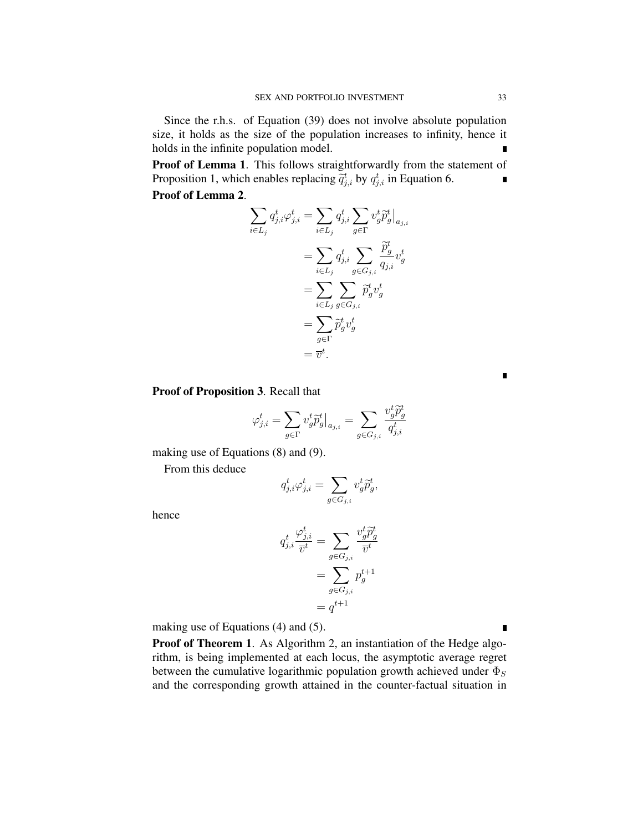Since the r.h.s. of Equation (39) does not involve absolute population size, it holds as the size of the population increases to infinity, hence it holds in the infinite population model.

Proof of Lemma 1. This follows straightforwardly from the statement of Proposition 1, which enables replacing  $\tilde{q}_{j,i}^t$  by  $q_{j,i}^t$  in Equation 6.  $\blacksquare$ Proof of Lemma 2.

$$
\begin{aligned} \sum_{i \in L_j} q_{j,i}^t \varphi_{j,i}^t &= \sum_{i \in L_j} q_{j,i}^t \sum_{g \in \Gamma} v_g^t \widetilde{p}_g^t \Big|_{a_{j,i}} \\ &= \sum_{i \in L_j} q_{j,i}^t \sum_{g \in G_{j,i}} \frac{\widetilde{p}_g^t}{q_{j,i}} v_g^t \\ &= \sum_{i \in L_j} \sum_{g \in G_{j,i}} \widetilde{p}_g^t v_g^t \\ &= \sum_{g \in \Gamma} \widetilde{p}_g^t v_g^t \\ &= \overline{v}^t. \end{aligned}
$$

Proof of Proposition 3. Recall that

$$
\varphi_{j,i}^t=\sum_{g\in \Gamma} v_g^t \widetilde{p}_g^t\big|_{a_{j,i}}=\sum_{g\in G_{j,i}} \frac{v_g^t \widetilde{p}_g^t}{q_{j,i}^t}
$$

making use of Equations (8) and (9).

From this deduce

$$
q_{j,i}^t\varphi_{j,i}^t=\sum_{g\in G_{j,i}}v_g^t\widetilde{p}_g^t,
$$

hence

$$
q_{j,i}^t \frac{\varphi_{j,i}^t}{\overline{v}^t} = \sum_{g \in G_{j,i}} \frac{v_g^t \widetilde{p}_g^t}{\overline{v}^t}
$$

$$
= \sum_{g \in G_{j,i}} p_g^{t+1}
$$

$$
= q^{t+1}
$$

making use of Equations (4) and (5).

Proof of Theorem 1. As Algorithm 2, an instantiation of the Hedge algorithm, is being implemented at each locus, the asymptotic average regret between the cumulative logarithmic population growth achieved under  $\Phi_S$ and the corresponding growth attained in the counter-factual situation in

 $\blacksquare$ 

 $\blacksquare$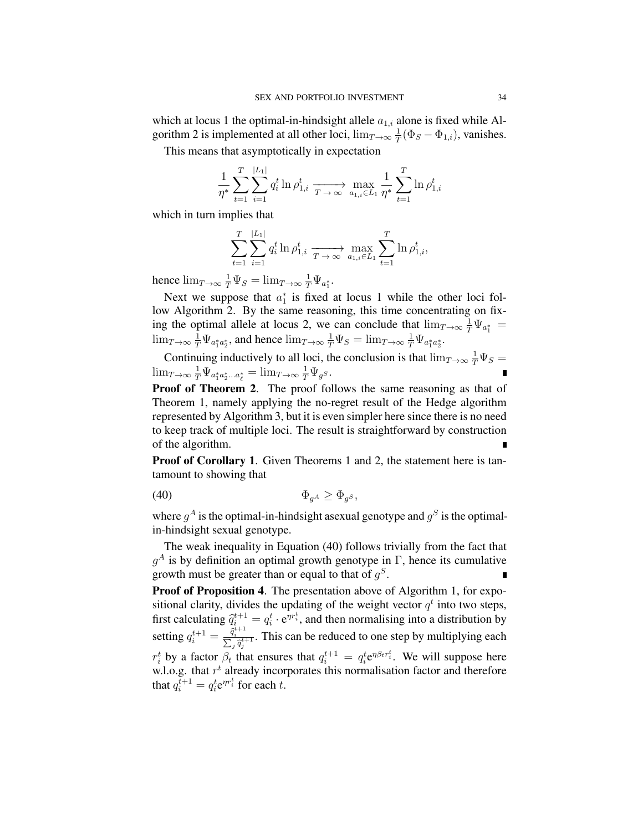which at locus 1 the optimal-in-hindsight allele  $a_{1,i}$  alone is fixed while Algorithm 2 is implemented at all other loci,  $\lim_{T\to\infty}\frac{1}{T}$  $\frac{1}{T}(\Phi_S - \Phi_{1,i})$ , vanishes.

This means that asymptotically in expectation

$$
\frac{1}{\eta^*} \sum_{t=1}^T \sum_{i=1}^{|L_1|} q_i^t \ln \rho_{1,i}^t \xrightarrow[T \to \infty]{} \max_{a_{1,i} \in L_1} \frac{1}{\eta^*} \sum_{t=1}^T \ln \rho_{1,i}^t
$$

which in turn implies that

$$
\sum_{t=1}^T \sum_{i=1}^{|L_1|} q_i^t \ln \rho_{1,i}^t \xrightarrow[T \to \infty]{} \max_{a_{1,i} \in L_1} \sum_{t=1}^T \ln \rho_{1,i}^t,
$$

hence  $\lim_{T\to\infty}\frac{1}{T}\Psi_S = \lim_{T\to\infty}\frac{1}{T}\Psi_{a_1^*}.$ 

Next we suppose that  $a_1^*$  is fixed at locus 1 while the other loci follow Algorithm 2. By the same reasoning, this time concentrating on fixing the optimal allele at locus 2, we can conclude that  $\lim_{T\to\infty} \frac{1}{T} \Psi_{a_1^*} =$  $\lim_{T\to\infty}\frac{1}{T}\Psi_{a_1^*a_2^*}$ , and hence  $\lim_{T\to\infty}\frac{1}{T}\Psi_S = \lim_{T\to\infty}\frac{1}{T}\Psi_{a_1^*a_2^*}$ .

Continuing inductively to all loci, the conclusion is that  $\lim_{T\to\infty} \frac{1}{T} \Psi_S =$  $\lim_{T \to \infty} \frac{1}{T} \Psi_{a_1^* a_2^* \dots a_\ell^*} = \lim_{T \to \infty} \frac{1}{T} \Psi_{g^S}.$ 

Proof of Theorem 2. The proof follows the same reasoning as that of Theorem 1, namely applying the no-regret result of the Hedge algorithm represented by Algorithm 3, but it is even simpler here since there is no need to keep track of multiple loci. The result is straightforward by construction of the algorithm.

Proof of Corollary 1. Given Theorems 1 and 2, the statement here is tantamount to showing that

$$
\Phi_{g^A} \ge \Phi_{g^S},
$$

where  $g^A$  is the optimal-in-hindsight asexual genotype and  $g^S$  is the optimalin-hindsight sexual genotype.

The weak inequality in Equation (40) follows trivially from the fact that  $g<sup>A</sup>$  is by definition an optimal growth genotype in  $\Gamma$ , hence its cumulative growth must be greater than or equal to that of  $g^S$ .

Proof of Proposition 4. The presentation above of Algorithm 1, for expositional clarity, divides the updating of the weight vector  $q<sup>t</sup>$  into two steps, first calculating  $\hat{q}_i^{t+1} = q_i^t \cdot e^{rr_i^t}$ , and then normalising into a distribution by setting  $q_i^{t+1} = \frac{\hat{q}_i^{t+1}}{\sum_j \hat{q}_j^{t+1}}$ . This can be reduced to one step by multiplying each  $r_i^t$  by a factor  $\beta_t$  that ensures that  $q_i^{t+1} = q_i^t e^{\eta \beta_t r_i^t}$ . We will suppose here w.l.o.g. that  $r<sup>t</sup>$  already incorporates this normalisation factor and therefore that  $q_i^{\bar{t}+1} = q_i^t e^{\eta r_i^t}$  for each  $t$ .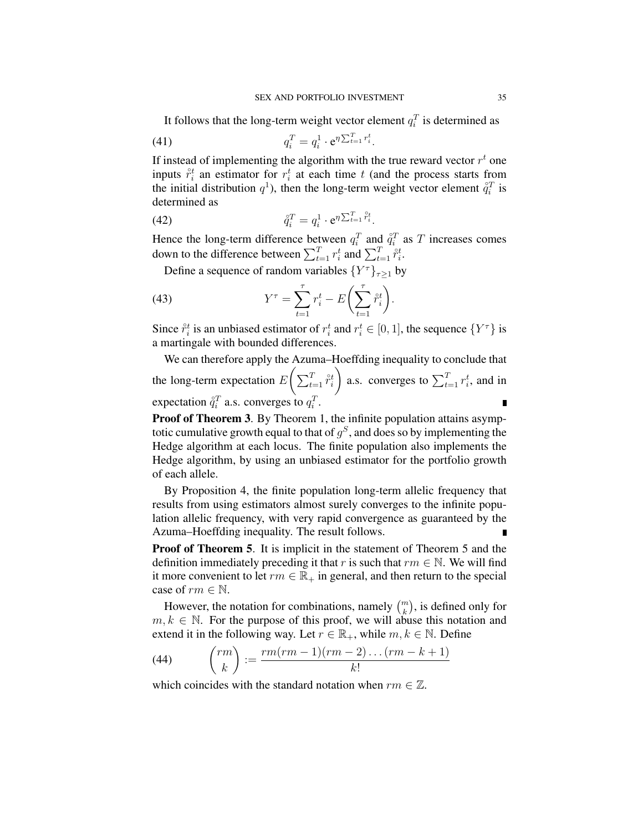It follows that the long-term weight vector element  $q_i^T$  is determined as

$$
(41) \qquad \qquad q_i^T = q_i^1 \cdot \mathbf{e}^{\eta \sum_{t=1}^T r_i^t}.
$$

If instead of implementing the algorithm with the true reward vector  $r<sup>t</sup>$  one inputs  $\hat{r}_i^t$  an estimator for  $r_i^t$  at each time t (and the process starts from the initial distribution  $q^1$ ), then the long-term weight vector element  $\hat{q}_i^T$  is determined as

$$
\mathring{q}_i^T = q_i^1 \cdot \mathbf{e}^{\eta \sum_{t=1}^T \mathring{r}_i^t}.
$$

Hence the long-term difference between  $q_i^T$  and  $\hat{q}_i^T$  as T increases comes down to the difference between  $\sum_{t=1}^{T} r_i^t$  and  $\sum_{t=1}^{T} \hat{r}_i^t$ .

Define a sequence of random variables  $\{Y^{\tau}\}_{\tau\geq 1}$  by

(43) 
$$
Y^{\tau} = \sum_{t=1}^{\tau} r_i^t - E\left(\sum_{t=1}^{\tau} \hat{r}_i^t\right).
$$

Since  $\hat{r}_i^t$  is an unbiased estimator of  $r_i^t$  and  $r_i^t \in [0, 1]$ , the sequence  $\{Y^{\tau}\}\$ is a martingale with bounded differences.

We can therefore apply the Azuma–Hoeffding inequality to conclude that the long-term expectation  $E\left(\sum_{t=1}^{T} \hat{r}_i^t\right)$ ) a.s. converges to  $\sum_{t=1}^{T} r_i^t$ , and in expectation  $\mathring{q}_i^T$  a.s. converges to  $q_i^T$ .  $\blacksquare$ 

Proof of Theorem 3. By Theorem 1, the infinite population attains asymptotic cumulative growth equal to that of  $g^S$ , and does so by implementing the Hedge algorithm at each locus. The finite population also implements the Hedge algorithm, by using an unbiased estimator for the portfolio growth of each allele.

By Proposition 4, the finite population long-term allelic frequency that results from using estimators almost surely converges to the infinite population allelic frequency, with very rapid convergence as guaranteed by the Azuma–Hoeffding inequality. The result follows.

Proof of Theorem 5. It is implicit in the statement of Theorem 5 and the definition immediately preceding it that r is such that  $rm \in \mathbb{N}$ . We will find it more convenient to let  $rm \in \mathbb{R}_+$  in general, and then return to the special case of  $rm \in \mathbb{N}$ .

However, the notation for combinations, namely  $\binom{m}{k}$ , is defined only for  $m, k \in \mathbb{N}$ . For the purpose of this proof, we will abuse this notation and extend it in the following way. Let  $r \in \mathbb{R}_+$ , while  $m, k \in \mathbb{N}$ . Define

(44) 
$$
{rm(44)} \qquad {\binom{rm}{k}} := \frac{rm(rm-1)(rm-2)...(rm-k+1)}{k!}
$$

which coincides with the standard notation when  $rm \in \mathbb{Z}$ .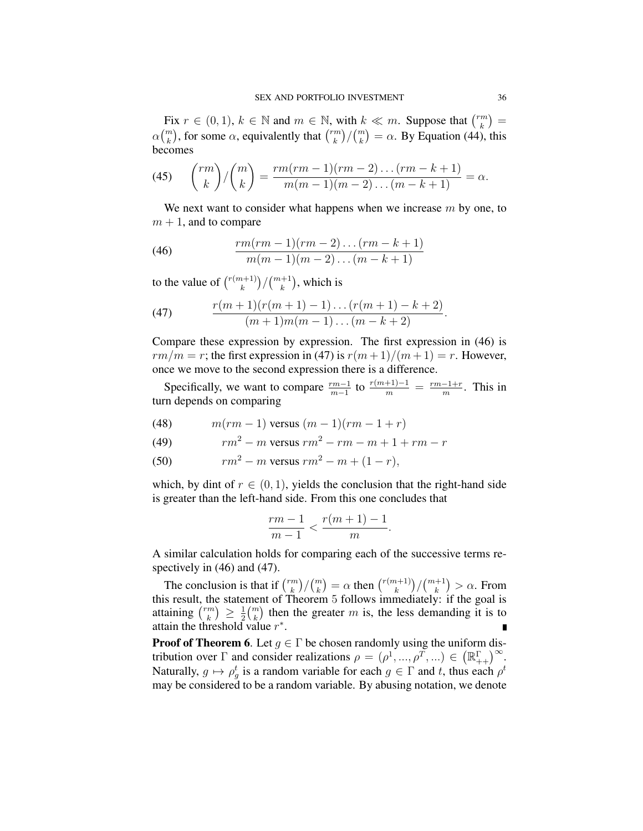Fix  $r \in (0, 1)$ ,  $k \in \mathbb{N}$  and  $m \in \mathbb{N}$ , with  $k \ll m$ . Suppose that  $\binom{rm}{k}$  $\binom{m}{k} =$  $\alpha \binom{m}{k}$ , for some  $\alpha$ , equivalently that  $\binom{rm}{k}$  $\binom{m}{k}$  =  $\alpha$ . By Equation (44), this becomes

(45) 
$$
{\binom{rm}{k}}/{\binom{m}{k}} = \frac{rm(rm-1)(rm-2)...(rm-k+1)}{m(m-1)(m-2)...(m-k+1)} = \alpha.
$$

We next want to consider what happens when we increase  $m$  by one, to  $m + 1$ , and to compare

(46) 
$$
\frac{rm(rm-1)(rm-2)...(rm-k+1)}{m(m-1)(m-2)...(m-k+1)}
$$

to the value of  $\binom{r(m+1)}{k}$  ${k+1 \choose k} / {m+1 \choose k}$ , which is

(47) 
$$
\frac{r(m+1)(r(m+1)-1)\dots(r(m+1)-k+2)}{(m+1)m(m-1)\dots(m-k+2)}.
$$

Compare these expression by expression. The first expression in (46) is  $rm/m = r$ ; the first expression in (47) is  $r(m+1)/(m+1) = r$ . However, once we move to the second expression there is a difference.

Specifically, we want to compare  $\frac{rm-1}{m-1}$  to  $\frac{r(m+1)-1}{m} = \frac{rm-1+r}{m}$ . This in turn depends on comparing

$$
(48) \qquad m(rm-1) \text{ versus } (m-1)(rm-1+r)
$$

$$
(49) \qquad rm^2 - m \text{ versus } rm^2 - rm - m + 1 + rm - r
$$

(50) 
$$
rm^2 - m \text{ versus } rm^2 - m + (1 - r),
$$

which, by dint of  $r \in (0, 1)$ , yields the conclusion that the right-hand side is greater than the left-hand side. From this one concludes that

$$
\frac{rm-1}{m-1} < \frac{r(m+1)-1}{m}
$$

.

A similar calculation holds for comparing each of the successive terms respectively in  $(46)$  and  $(47)$ .

The conclusion is that if  $\binom{rm}{k}$  $\binom{m}{k}$  /  $\binom{m}{k}$  =  $\alpha$  then  $\binom{r(m+1)}{k}$  ${k+1 \choose k} / {m+1 \choose k} > \alpha$ . From this result, the statement of Theorem 5 follows immediately: if the goal is attaining  $\binom{rm}{k}$  $\binom{m}{k} \geq \frac{1}{2}$  $\frac{1}{2} {m \choose k}$  then the greater m is, the less demanding it is to attain the threshold value  $r^*$ .

**Proof of Theorem 6.** Let  $g \in \Gamma$  be chosen randomly using the uniform distribution over  $\Gamma$  and consider realizations  $\rho = (\rho^1, ..., \rho^T, ...) \in (\mathbb{R}^{\Gamma}_{++})^{\infty}$ . Naturally,  $g \mapsto \rho_g^t$  is a random variable for each  $g \in \Gamma$  and t, thus each  $\rho^t$ may be considered to be a random variable. By abusing notation, we denote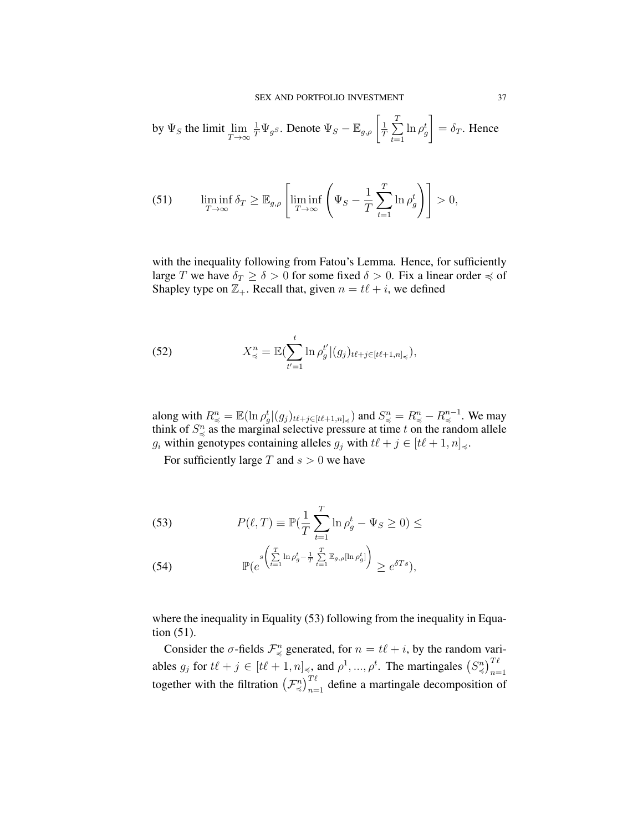by 
$$
\Psi_S
$$
 the limit  $\lim_{T \to \infty} \frac{1}{T} \Psi_{g^S}$ . Denote  $\Psi_S - \mathbb{E}_{g,\rho} \left[ \frac{1}{T} \sum_{t=1}^T \ln \rho_g^t \right] = \delta_T$ . Hence

(51) 
$$
\liminf_{T \to \infty} \delta_T \geq \mathbb{E}_{g,\rho} \left[ \liminf_{T \to \infty} \left( \Psi_S - \frac{1}{T} \sum_{t=1}^T \ln \rho_g^t \right) \right] > 0,
$$

with the inequality following from Fatou's Lemma. Hence, for sufficiently large T we have  $\delta_T \ge \delta > 0$  for some fixed  $\delta > 0$ . Fix a linear order  $\preccurlyeq$  of Shapley type on  $\mathbb{Z}_+$ . Recall that, given  $n = t\ell + i$ , we defined

(52) 
$$
X_{\preccurlyeq}^{n} = \mathbb{E}(\sum_{t'=1}^{t} \ln \rho_g^{t'} | (g_j)_{t\ell+j \in [t\ell+1,n]_{\preccurlyeq}}),
$$

along with  $R^n_{\preccurlyeq} = \mathbb{E}(\ln \rho^t_g | (g_j)_{t\ell+j\in[t\ell+1,n]_\preccurlyeq})$  and  $S^n_{\preccurlyeq} = R^n_{\preccurlyeq} - R^{n-1}_{\preccurlyeq}$ . We may think of  $S^n_{\preccurlyeq}$  as the marginal selective pressure at time t on the random allele  $g_i$  within genotypes containing alleles  $g_j$  with  $t\ell + j \in [t\ell + 1, n]_{\preccurlyeq}$ .

For sufficiently large T and  $s > 0$  we have

(53) 
$$
P(\ell, T) \equiv \mathbb{P}(\frac{1}{T} \sum_{t=1}^{T} \ln \rho_g^t - \Psi_S \ge 0) \le
$$

(54) 
$$
\mathbb{P}(e^{s\left(\sum\limits_{t=1}^T\ln\rho_g^t - \frac{1}{T}\sum\limits_{t=1}^T\mathbb{E}_{g,\rho}[\ln\rho_g^t]\right)} \geq e^{\delta Ts}),
$$

where the inequality in Equality (53) following from the inequality in Equation (51).

Consider the  $\sigma$ -fields  $\mathcal{F}^n_{\preccurlyeq}$  generated, for  $n = t\ell + i$ , by the random variables  $g_j$  for  $t\ell + j \in [t\ell + 1, n]_{\preccurlyeq}$ , and  $\rho^1, ..., \rho^t$ . The martingales  $(S_{\preccurlyeq}^n)_{n=1}^{T\ell}$  together with the filtration  $(\mathcal{F}_{\preccurlyeq}^n)_{n=1}^{T\ell}$  define a martingale decomposition of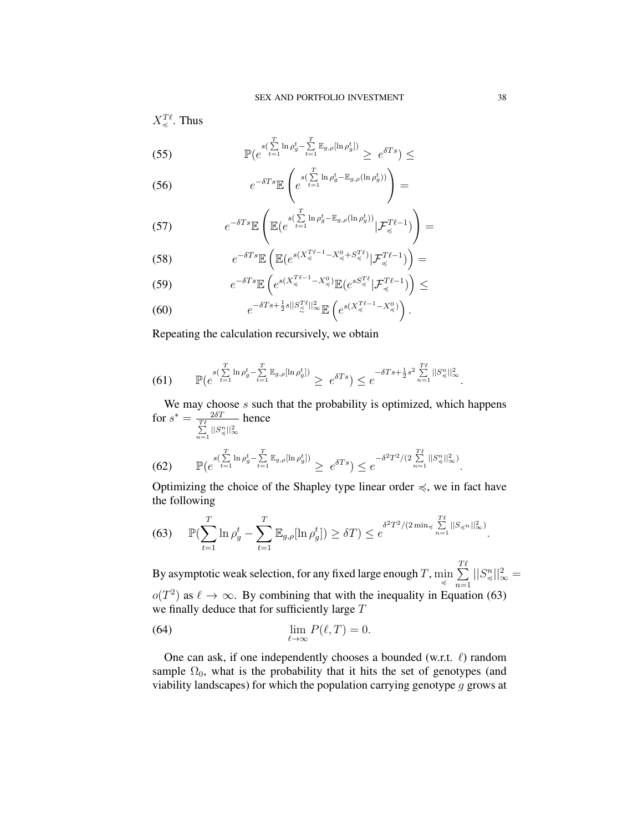$X^{T\ell}_{\preccurlyeq}.$  Thus

P(e s( PT t=1 ln ρ t g− PT t=1 Eg,ρ[ln ρ t g ]) ≥ e δT s (55) ) <sup>≤</sup>

(56) 
$$
e^{-\delta Ts} \mathbb{E}\left(e^{s(\sum_{t=1}^{T} \ln \rho_g^t - \mathbb{E}_{g,\rho}(\ln \rho_g^t))}\right) =
$$

(57) 
$$
e^{-\delta Ts} \mathbb{E}\left(\mathbb{E}(e^{s(\sum_{t=1}^T \ln \rho_g^t - \mathbb{E}_{g,\rho}(\ln \rho_g^t))}|\mathcal{F}_{\preccurlyeq}^{T\ell-1})\right) =
$$

(58) 
$$
e^{-\delta Ts} \mathbb{E}\left(\mathbb{E}(e^{s(X_{\preccurlyeq}^{T\ell-1}-X_{\preccurlyeq}^0+S_{\preccurlyeq}^{T\ell})}|\mathcal{F}_{\preccurlyeq}^{T\ell-1})\right) =
$$

$$
(59) \qquad e^{-\delta Ts} \mathbb{E} \left( e^{s(X_{\preccurlyeq}^{T\ell-1} - X_{\preccurlyeq}^0)} \mathbb{E} (e^{sS_{\preccurlyeq}^{T\ell}} | \mathcal{F}_{\preccurlyeq}^{T\ell-1}) \right) \leq
$$

(60) 
$$
e^{-\delta Ts + \frac{1}{2}s||S_{\precsim}^{T\ell}||_{\infty}^{2}} \mathbb{E}\left(e^{s(X_{\preccurlyeq}^{T\ell-1} - X_{\preccurlyeq}^{0})}\right).
$$

Repeating the calculation recursively, we obtain

$$
(61) \qquad \mathbb{P}(e^{s(\sum_{t=1}^{T}\ln \rho_g^t - \sum_{t=1}^{T}\mathbb{E}_{g,\rho}[\ln \rho_g^t])} \geq e^{\delta Ts}) \leq e^{-\delta Ts + \frac{1}{2}s^2 \sum_{n=1}^{T\ell}||S_{\preccurlyeq}^n||_{\infty}^2}.
$$

We may choose  $s$  such that the probability is optimized, which happens for  $s^* = \frac{2\delta T}{T_{\ell}}$  $\sum_{n=1}^{T\ell} ||S_{\preccurlyeq}^n||_{\infty}^2$ hence

(62) 
$$
\mathbb{P}(e^{s(\sum_{t=1}^{T}\ln \rho_g^t - \sum_{t=1}^{T}\mathbb{E}_{g,\rho}[\ln \rho_g^t])} \geq e^{\delta Ts}) \leq e^{-\delta^2 T^2/(2\sum_{n=1}^{T_{\ell}}||S_{\preccurlyeq}^n||_{\infty}^2)}.
$$

Optimizing the choice of the Shapley type linear order  $\preccurlyeq$ , we in fact have the following

(63) 
$$
\mathbb{P}(\sum_{t=1}^T \ln \rho_g^t - \sum_{t=1}^T \mathbb{E}_{g,\rho}[\ln \rho_g^t]) \geq \delta T) \leq e^{\delta^2 T^2 / (2 \min_{\preccurlyeq} \sum_{n=1}^T ||S_{\preccurlyeq^n}||_{\infty}^2)}.
$$

By asymptotic weak selection, for any fixed large enough  $T$ ,  $\min_{\preccurlyeq}$  $\sum$  $\sum_{n=1}||S_{\preccurlyeq}^{n}||_{\infty}^{2} =$  $o(T^2)$  as  $\ell \to \infty$ . By combining that with the inequality in Equation (63) we finally deduce that for sufficiently large  $T$ 

(64) 
$$
\lim_{\ell \to \infty} P(\ell, T) = 0.
$$

One can ask, if one independently chooses a bounded (w.r.t.  $\ell$ ) random sample  $\Omega_0$ , what is the probability that it hits the set of genotypes (and viability landscapes) for which the population carrying genotype  $g$  grows at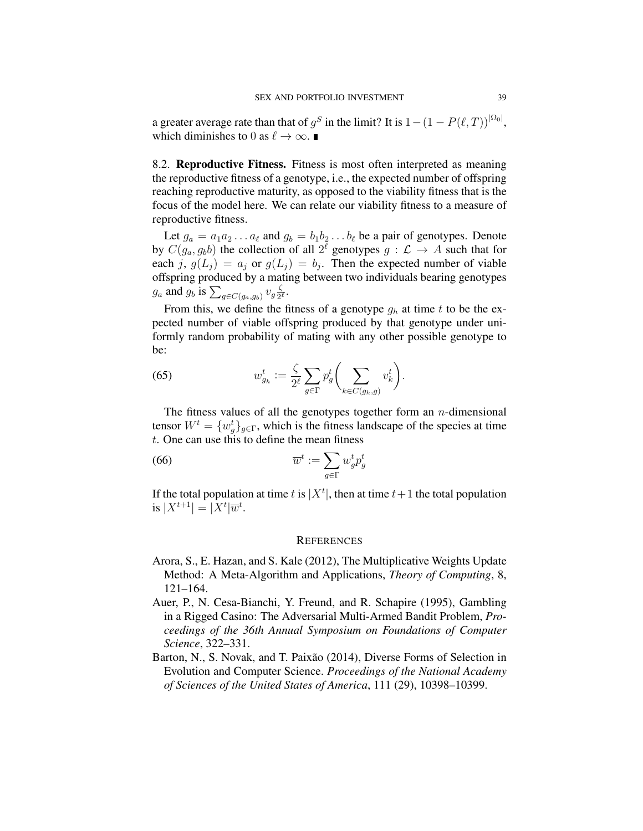a greater average rate than that of  $g^S$  in the limit? It is  $1 - (1 - P(\ell, T))^{|\Omega_0|}$ , which diminishes to 0 as  $\ell \to \infty$ .

8.2. Reproductive Fitness. Fitness is most often interpreted as meaning the reproductive fitness of a genotype, i.e., the expected number of offspring reaching reproductive maturity, as opposed to the viability fitness that is the focus of the model here. We can relate our viability fitness to a measure of reproductive fitness.

Let  $g_a = a_1 a_2 \dots a_\ell$  and  $g_b = b_1 b_2 \dots b_\ell$  be a pair of genotypes. Denote by  $C(g_a, g_b b)$  the collection of all  $2^{\ell}$  genotypes  $g : \mathcal{L} \to A$  such that for each j,  $g(L_j) = a_j$  or  $g(L_j) = b_j$ . Then the expected number of viable offspring produced by a mating between two individuals bearing genotypes  $g_a$  and  $g_b$  is  $\sum_{g \in C(g_a,g_b)} v_g \frac{\zeta}{2^2}$  $\frac{\zeta}{2^\ell}$ .

From this, we define the fitness of a genotype  $g_h$  at time t to be the expected number of viable offspring produced by that genotype under uniformly random probability of mating with any other possible genotype to be:

(65) 
$$
w_{g_h}^t := \frac{\zeta}{2^{\ell}} \sum_{g \in \Gamma} p_g^t \left( \sum_{k \in C(g_h, g)} v_k^t \right).
$$

The fitness values of all the genotypes together form an  $n$ -dimensional tensor  $W^t = \{w_g^t\}_{g \in \Gamma}$ , which is the fitness landscape of the species at time  $t$ . One can use this to define the mean fitness

(66) 
$$
\overline{w}^t := \sum_{g \in \Gamma} w_g^t p_g^t
$$

If the total population at time t is  $|X^t|$ , then at time  $t+1$  the total population is  $|X^{t+1}| = |X^t| \overline{w}^t$ .

#### **REFERENCES**

- Arora, S., E. Hazan, and S. Kale (2012), The Multiplicative Weights Update Method: A Meta-Algorithm and Applications, *Theory of Computing*, 8, 121–164.
- Auer, P., N. Cesa-Bianchi, Y. Freund, and R. Schapire (1995), Gambling in a Rigged Casino: The Adversarial Multi-Armed Bandit Problem, *Proceedings of the 36th Annual Symposium on Foundations of Computer Science*, 322–331.
- Barton, N., S. Novak, and T. Paixão (2014), Diverse Forms of Selection in Evolution and Computer Science. *Proceedings of the National Academy of Sciences of the United States of America*, 111 (29), 10398–10399.